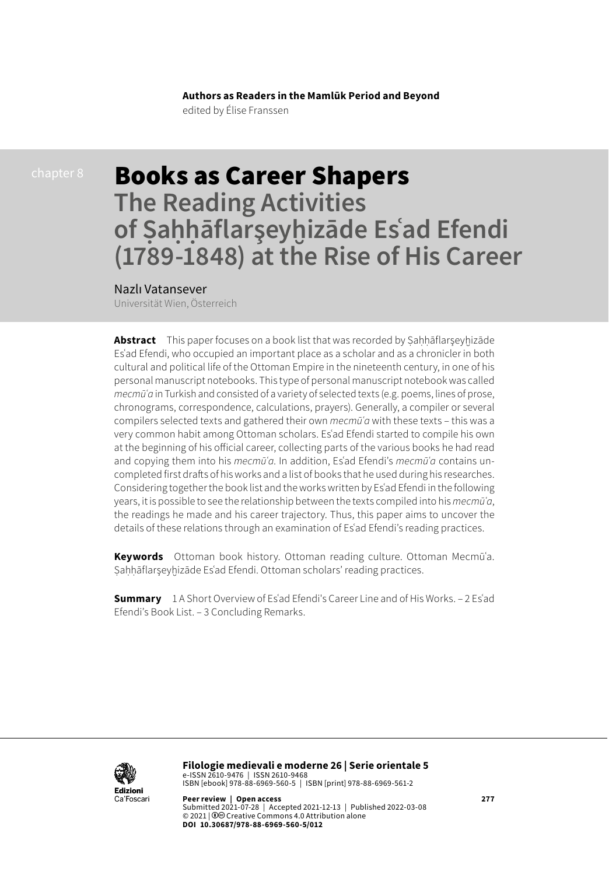**Authors as Readers in the Mamlūk Period and Beyond** edited by Élise Franssen

# Books as Career Shapers **The Reading Activities of Ṣaḥḥāflarşeyḫizāde Esʿad Efendi (1789-1848) at the Rise of His Career**

### Nazlı Vatansever

Universität Wien, Österreich

Abstract This paper focuses on a book list that was recorded by Sahhāflarşeyhizāde Esʿad Efendi, who occupied an important place as a scholar and as a chronicler in both cultural and political life of the Ottoman Empire in the nineteenth century, in one of his personal manuscript notebooks. This type of personal manuscript notebook was called *mecmūʿa* in Turkish and consisted of a variety of selected texts (e.g. poems, lines of prose, chronograms, correspondence, calculations, prayers). Generally, a compiler or several compilers selected texts and gathered their own *mecmūʿa* with these texts – this was a very common habit among Ottoman scholars. Esʿad Efendi started to compile his own at the beginning of his official career, collecting parts of the various books he had read and copying them into his *mecmūʿa*. In addition, Esʿad Efendi's *mecmūʿa* contains uncompleted first drafts of his works and a list of books that he used during his researches. Considering together the book list and the works written by Esʿad Efendi in the following years, it is possible to see the relationship between the texts compiled into his *mecmūʿa*, the readings he made and his career trajectory. Thus, this paper aims to uncover the details of these relations through an examination of Esʿad Efendi's reading practices.

**Keywords** Ottoman book history. Ottoman reading culture. Ottoman Mecmūʿa. Ṣaḥḥāflarşeyḫizāde Esʿad Efendi. Ottoman scholars' reading practices.

**Summary** 1 A Short Overview of Esʿad Efendi's Career Line and of His Works. – 2 Esʿad Efendi's Book List. – 3 Concluding Remarks.



**Filologie medievali e moderne 26 | Serie orientale 5**  e-ISSN 2610-9476 | ISSN 2610-9468 ISBN [ebook] 978-88-6969-560-5 | ISBN [print] 978-88-6969-561-2

**Peer review | Open access 277** Submitted 2021-07-28 | Accepted 2021-12-13 | Published 2022-03-08 © 2021 | 0<sup>o</sup> Creative Commons 4.0 Attribution alone **DOI 10.30687/978-88-6969-560-5/012**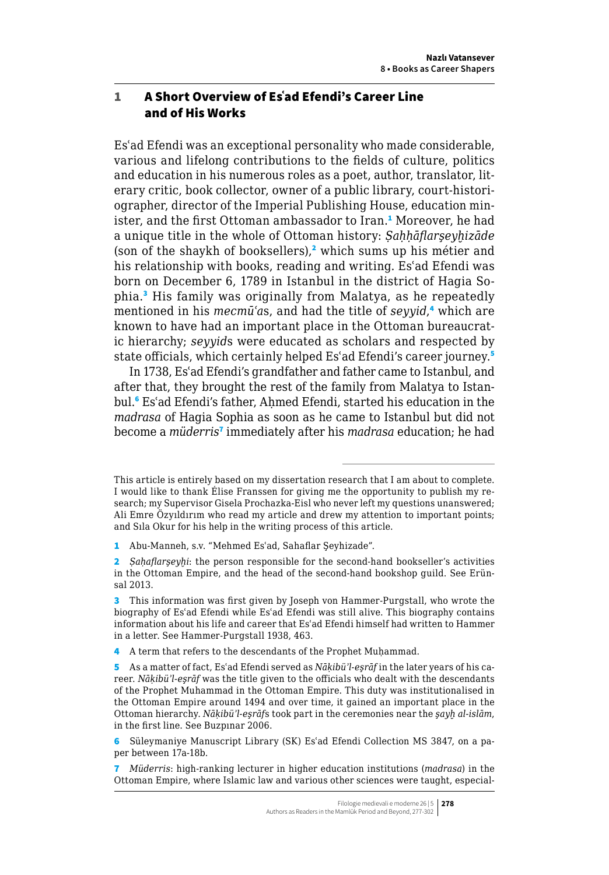## 1 A Short Overview of Esʿad Efendi's Career Line and of His Works

Esʿad Efendi was an exceptional personality who made considerable, various and lifelong contributions to the fields of culture, politics and education in his numerous roles as a poet, author, translator, literary critic, book collector, owner of a public library, court-historiographer, director of the Imperial Publishing House, education minister, and the first Ottoman ambassador to Iran.<sup>1</sup> Moreover, he had a unique title in the whole of Ottoman history: *Ṣaḥḥāflarşeyḫizāde* (son of the shaykh of booksellers),<sup>2</sup> which sums up his métier and his relationship with books, reading and writing. Esʿad Efendi was born on December 6, 1789 in Istanbul in the district of Hagia Sophia.<sup>3</sup> His family was originally from Malatya, as he repeatedly mentioned in his *mecmūʿa*s, and had the title of *seyyid*, 4 which are known to have had an important place in the Ottoman bureaucratic hierarchy; *seyyid*s were educated as scholars and respected by state officials, which certainly helped Es'ad Efendi's career journey.<sup>5</sup>

In 1738, Esʿad Efendi's grandfather and father came to Istanbul, and after that, they brought the rest of the family from Malatya to Istanbul.<sup>6</sup> Esʿad Efendi's father, Aḥmed Efendi, started his education in the *madrasa* of Hagia Sophia as soon as he came to Istanbul but did not become a *müderris*<sup>7</sup> immediately after his *madrasa* education; he had

This article is entirely based on my dissertation research that I am about to complete. I would like to thank Élise Franssen for giving me the opportunity to publish my research; my Supervisor Gisela Prochazka-Eisl who never left my questions unanswered; Ali Emre Özyıldırım who read my article and drew my attention to important points; and Sıla Okur for his help in the writing process of this article.

<sup>1</sup> Abu-Manneh, s.v. "Mehmed Esʿad, Sahaflar Şeyhizade".

<sup>2</sup> *Sahaflarseyhi*: the person responsible for the second-hand bookseller's activities in the Ottoman Empire, and the head of the second-hand bookshop guild. See Erünsal 2013.

<sup>3</sup> This information was first given by Joseph von Hammer-Purgstall, who wrote the biography of Esʿad Efendi while Esʿad Efendi was still alive. This biography contains information about his life and career that Esʿad Efendi himself had written to Hammer in a letter. See Hammer-Purgstall 1938, 463.

<sup>4</sup> A term that refers to the descendants of the Prophet Muḥammad.

<sup>5</sup> As a matter of fact, Esʿad Efendi served as *Nāḳibüʾl-eşrāf* in the later years of his career. *Nāḳibüʾl-eşrāf* was the title given to the officials who dealt with the descendants of the Prophet Muhammad in the Ottoman Empire. This duty was institutionalised in the Ottoman Empire around 1494 and over time, it gained an important place in the Ottoman hierarchy. *Nāḳibüʾl-eşrāf*s took part in the ceremonies near the *şayḫ al-islām*, in the first line. See Buzpınar 2006.

<sup>6</sup> Süleymaniye Manuscript Library (SK) Esʿad Efendi Collection MS 3847, on a paper between 17a-18b.

<sup>7</sup> *Müderris*: high-ranking lecturer in higher education institutions (*madrasa*) in the Ottoman Empire, where Islamic law and various other sciences were taught, especial-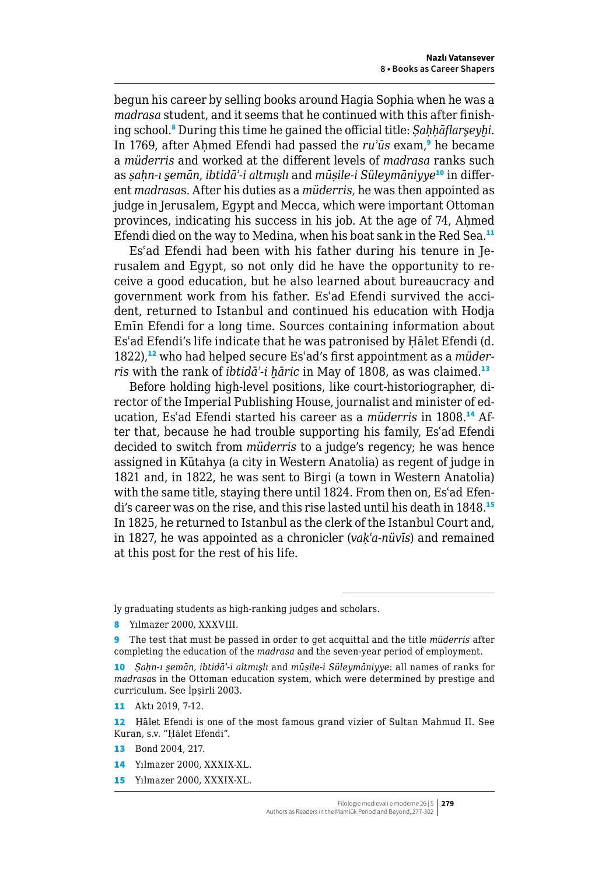begun his career by selling books around Hagia Sophia when he was a *madrasa* student, and it seems that he continued with this after finishing school.<sup>8</sup> During this time he gained the official title: *Ṣaḥḥāflarşeyḫi*. In 1769, after Aḥmed Efendi had passed the *ru'ūs* exam,<sup>9</sup> he became a *müderris* and worked at the different levels of *madrasa* ranks such as *ṣaḥn-ı s̱emān*, *ibtidāʾ-i altmışlı* and *mūṣile-i Süleymāniyye*10 in different *madrasa*s. After his duties as a *müderris*, he was then appointed as judge in Jerusalem, Egypt and Mecca, which were important Ottoman provinces, indicating his success in his job. At the age of 74, Ahmed Efendi died on the way to Medina, when his boat sank in the Red Sea.<sup>11</sup>

Esʿad Efendi had been with his father during his tenure in Jerusalem and Egypt, so not only did he have the opportunity to receive a good education, but he also learned about bureaucracy and government work from his father. Esʿad Efendi survived the accident, returned to Istanbul and continued his education with Hodja Emīn Efendi for a long time. Sources containing information about Esʿad Efendi's life indicate that he was patronised by Ḥālet Efendi (d. 1822),<sup>12</sup> who had helped secure Es'ad's first appointment as a *müderris* with the rank of *ibtidā*<sup>2</sup>-*i hāric* in May of 1808, as was claimed.<sup>13</sup>

Before holding high-level positions, like court-historiographer, director of the Imperial Publishing House, journalist and minister of education, Esʿad Efendi started his career as a *müderris* in 1808.14 After that, because he had trouble supporting his family, Esʿad Efendi decided to switch from *müderris* to a judge's regency; he was hence assigned in Kütahya (a city in Western Anatolia) as regent of judge in 1821 and, in 1822, he was sent to Birgi (a town in Western Anatolia) with the same title, staying there until 1824. From then on, Es'ad Efendi's career was on the rise, and this rise lasted until his death in 1848.<sup>15</sup> In 1825, he returned to Istanbul as the clerk of the Istanbul Court and, in 1827, he was appointed as a chronicler (*vaḳʿa-nüvīs*) and remained at this post for the rest of his life.

ly graduating students as high-ranking judges and scholars.

8 Yılmazer 2000, XXXVIII.

- 13 Bond 2004, 217.
- 14 Yılmazer 2000, XXXIX-XL.
- 15 Yılmazer 2000, XXXIX-XL.

<sup>9</sup> The test that must be passed in order to get acquittal and the title *müderris* after completing the education of the *madrasa* and the seven-year period of employment.

<sup>10</sup> *Ṣaḥn-ı s̱emān, ibtidāʾ-i altmışlı* and *mūṣile-i Süleymāniyye*: all names of ranks for *madrasa*s in the Ottoman education system, which were determined by prestige and curriculum. See İpşirli 2003.

<sup>11</sup> Aktı 2019, 7-12.

<sup>12</sup> Ḥālet Efendi is one of the most famous grand vizier of Sultan Mahmud II. See Kuran, s.v. "Ḥālet Efendi".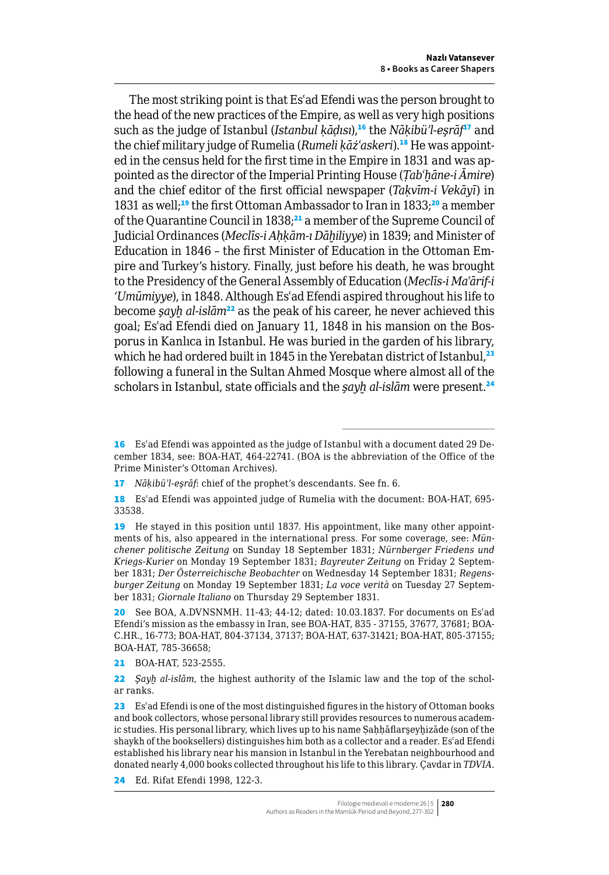The most striking point is that Esʿad Efendi was the person brought to the head of the new practices of the Empire, as well as very high positions such as the judge of Istanbul (*Istanbul ḳāḍısı*),<sup>16</sup> the *Nāḳibüʾl-eşrāf*<sup>17</sup> and the chief military judge of Rumelia (*Rumeli kāż'askeri*).<sup>18</sup> He was appointed in the census held for the first time in the Empire in 1831 and was appointed as the director of the Imperial Printing House (*Ṭabʿḫāne-i Āmire*) and the chief editor of the first official newspaper (*Taḳvīm-i Vekāyī*) in 1831 as well;<sup>19</sup> the first Ottoman Ambassador to Iran in 1833;<sup>20</sup> a member of the Quarantine Council in 1838;<sup>21</sup> a member of the Supreme Council of Judicial Ordinances (*Meclīs-i Aḥḳām-ı Dāḫiliyye*) in 1839; and Minister of Education in 1846 – the first Minister of Education in the Ottoman Empire and Turkey's history. Finally, just before his death, he was brought to the Presidency of the General Assembly of Education (*Meclīs-i Maʿārif-i 'Umūmiyye*), in 1848. Although Esʿad Efendi aspired throughout his life to become *sayh al-islām*<sup>22</sup> as the peak of his career, he never achieved this goal; Esʿad Efendi died on January 11, 1848 in his mansion on the Bosporus in Kanlıca in Istanbul. He was buried in the garden of his library, which he had ordered built in 1845 in the Yerebatan district of Istanbul,<sup>23</sup> following a funeral in the Sultan Ahmed Mosque where almost all of the scholars in Istanbul, state officials and the *sayh al-islām* were present.<sup>24</sup>

24 Ed. Rifat Efendi 1998, 122-3.

<sup>16</sup> Es'ad Efendi was appointed as the judge of Istanbul with a document dated 29 December 1834, see: BOA-HAT, 464-22741. (BOA is the abbreviation of the Office of the Prime Minister's Ottoman Archives).

<sup>17</sup> *Nāḳibüʾl-eşrāf*: chief of the prophet's descendants. See fn. 6.

<sup>18</sup> Es'ad Efendi was appointed judge of Rumelia with the document: BOA-HAT, 695-33538.

<sup>19</sup> He stayed in this position until 1837. His appointment, like many other appointments of his, also appeared in the international press. For some coverage, see: *Münchener politische Zeitung* on Sunday 18 September 1831; *Nürnberger Friedens und Kriegs-Kurier* on Monday 19 September 1831; *Bayreuter Zeitung* on Friday 2 September 1831; *Der Österreichische Beobachter* on Wednesday 14 September 1831; *Regensburger Zeitung* on Monday 19 September 1831; *La voce verità* on Tuesday 27 September 1831; *Giornale Italiano* on Thursday 29 September 1831.

<sup>20</sup> See BOA, A.DVNSNMH. 11-43; 44-12; dated: 10.03.1837. For documents on Esʿad Efendi's mission as the embassy in Iran, see BOA-HAT, 835 - 37155, 37677, 37681; BOA-C.HR., 16-773; BOA-HAT, 804-37134, 37137; BOA-HAT, 637-31421; BOA-HAT, 805-37155; BOA-HAT, 785-36658;

<sup>21</sup> BOA-HAT, 523-2555.

<sup>22</sup> *Şayḫ al-islām*, the highest authority of the Islamic law and the top of the scholar ranks.

<sup>23</sup> Es'ad Efendi is one of the most distinguished figures in the history of Ottoman books and book collectors, whose personal library still provides resources to numerous academic studies. His personal library, which lives up to his name Ṣaḥḥāflarşeyḫizāde (son of the shaykh of the booksellers) distinguishes him both as a collector and a reader. Esʿad Efendi established his library near his mansion in Istanbul in the Yerebatan neighbourhood and donated nearly 4,000 books collected throughout his life to this library. Çavdar in *TDVIA*.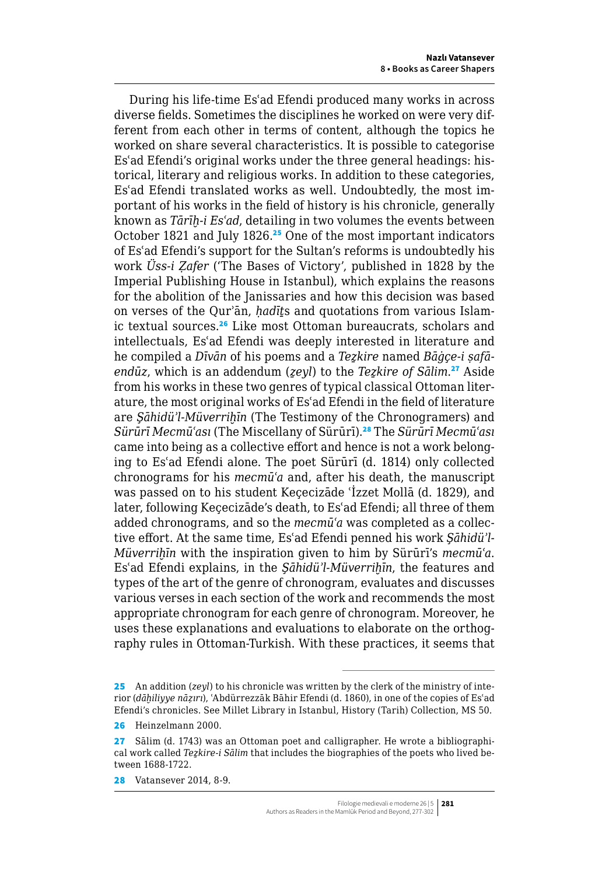During his life-time Esʿad Efendi produced many works in across diverse fields. Sometimes the disciplines he worked on were very different from each other in terms of content, although the topics he worked on share several characteristics. It is possible to categorise Esʿad Efendi's original works under the three general headings: historical, literary and religious works. In addition to these categories, Esʿad Efendi translated works as well. Undoubtedly, the most important of his works in the field of history is his chronicle, generally known as *Tārīḫ-i Esʿad*, detailing in two volumes the events between October 1821 and July 1826.<sup>25</sup> One of the most important indicators of Esʿad Efendi's support for the Sultan's reforms is undoubtedly his work *Üss-i Ẓafer* ('The Bases of Victory', published in 1828 by the Imperial Publishing House in Istanbul), which explains the reasons for the abolition of the Janissaries and how this decision was based on verses of the Qurʾān, *ḥadīṯ*s and quotations from various Islamic textual sources.<sup>26</sup> Like most Ottoman bureaucrats, scholars and intellectuals, Esʿad Efendi was deeply interested in literature and he compiled a *Dīvān* of his poems and a *Teẕkire* named *Bāġçe-i ṣafāendūz*, which is an addendum (*ẕeyl*) to the *Teẕkire of Sālim*. <sup>27</sup> Aside from his works in these two genres of typical classical Ottoman literature, the most original works of Esʿad Efendi in the field of literature are *Şāhidüʾl-Müverriḫīn* (The Testimony of the Chronogramers) and *Sürūrī Mecmūʿası* (The Miscellany of Sürūrī).<sup>28</sup> The *Sürūrī Mecmūʿası* came into being as a collective effort and hence is not a work belonging to Esʿad Efendi alone. The poet Sürūrī (d. 1814) only collected chronograms for his *mecmūʿa* and, after his death, the manuscript was passed on to his student Keçecizāde ʿİzzet Mollā (d. 1829), and later, following Keçecizāde's death, to Esʿad Efendi; all three of them added chronograms, and so the *mecmūʿa* was completed as a collective effort. At the same time, Esʿad Efendi penned his work *Şāhidüʾl-Müverriḫīn* with the inspiration given to him by Sürūrī's *mecmūʿa*. Esʿad Efendi explains, in the *Şāhidüʾl-Müverriḫīn*, the features and types of the art of the genre of chronogram, evaluates and discusses various verses in each section of the work and recommends the most appropriate chronogram for each genre of chronogram. Moreover, he uses these explanations and evaluations to elaborate on the orthography rules in Ottoman-Turkish. With these practices, it seems that

<sup>25</sup> An addition (*zeyl*) to his chronicle was written by the clerk of the ministry of interior (*dāḫiliyye nāẓırı*), ʿAbdürrezzāk Bāhir Efendi (d. 1860), in one of the copies of Esʿad Efendi's chronicles. See Millet Library in Istanbul, History (Tarih) Collection, MS 50.

<sup>26</sup> Heinzelmann 2000.

<sup>27</sup> Sālim (d. 1743) was an Ottoman poet and calligrapher. He wrote a bibliographical work called *Teẕkire-i Sālim* that includes the biographies of the poets who lived between 1688-1722.

<sup>28</sup> Vatansever 2014, 8-9.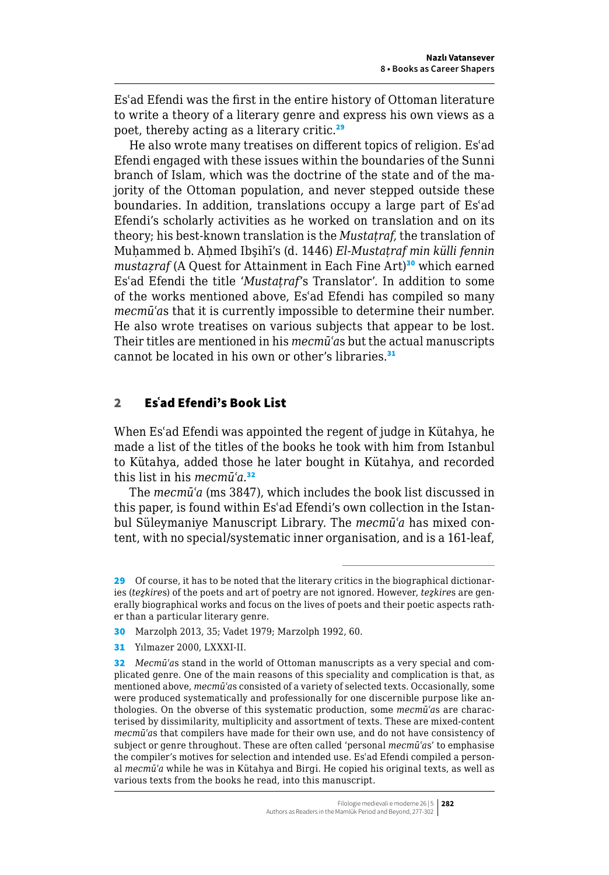Esʿad Efendi was the first in the entire history of Ottoman literature to write a theory of a literary genre and express his own views as a poet, thereby acting as a literary critic.<sup>29</sup>

He also wrote many treatises on different topics of religion. Esʿad Efendi engaged with these issues within the boundaries of the Sunni branch of Islam, which was the doctrine of the state and of the majority of the Ottoman population, and never stepped outside these boundaries. In addition, translations occupy a large part of Esʿad Efendi's scholarly activities as he worked on translation and on its theory; his best-known translation is the *Mustaṭraf,* the translation of Muḥammed b. Aḥmed Ibşihī's (d. 1446) *El-Mustaṭraf min külli fennin mustazraf* (A Quest for Attainment in Each Fine Art)<sup>30</sup> which earned Esʿad Efendi the title '*Mustaṭraf*'s Translator'. In addition to some of the works mentioned above, Esʿad Efendi has compiled so many *mecmūʿa*s that it is currently impossible to determine their number. He also wrote treatises on various subjects that appear to be lost. Their titles are mentioned in his *mecmūʿa*s but the actual manuscripts cannot be located in his own or other's libraries.<sup>31</sup>

## 2 Esʿad Efendi's Book List

When Esʿad Efendi was appointed the regent of judge in Kütahya, he made a list of the titles of the books he took with him from Istanbul to Kütahya, added those he later bought in Kütahya, and recorded this list in his *mecmūʿa*. 32

The *mecmūʿa* (ms 3847), which includes the book list discussed in this paper, is found within Esʿad Efendi's own collection in the Istanbul Süleymaniye Manuscript Library. The *mecmūʿa* has mixed content, with no special/systematic inner organisation, and is a 161-leaf,

<sup>29</sup> Of course, it has to be noted that the literary critics in the biographical dictionaries (*teẕkire*s) of the poets and art of poetry are not ignored. However, *teẕkire*s are generally biographical works and focus on the lives of poets and their poetic aspects rather than a particular literary genre.

<sup>30</sup> Marzolph 2013, 35; Vadet 1979; Marzolph 1992, 60.

<sup>31</sup> Yılmazer 2000, LXXXI-II.

<sup>32</sup> *Mecmūʿa*s stand in the world of Ottoman manuscripts as a very special and complicated genre. One of the main reasons of this speciality and complication is that, as mentioned above, *mecmūʿa*s consisted of a variety of selected texts. Occasionally, some were produced systematically and professionally for one discernible purpose like anthologies. On the obverse of this systematic production, some *mecmūʿa*s are characterised by dissimilarity, multiplicity and assortment of texts. These are mixed-content *mecmūʿa*s that compilers have made for their own use, and do not have consistency of subject or genre throughout. These are often called 'personal *mecmūʿa*s' to emphasise the compiler's motives for selection and intended use. Esʿad Efendi compiled a personal *mecmūʿa* while he was in Kütahya and Birgi. He copied his original texts, as well as various texts from the books he read, into this manuscript.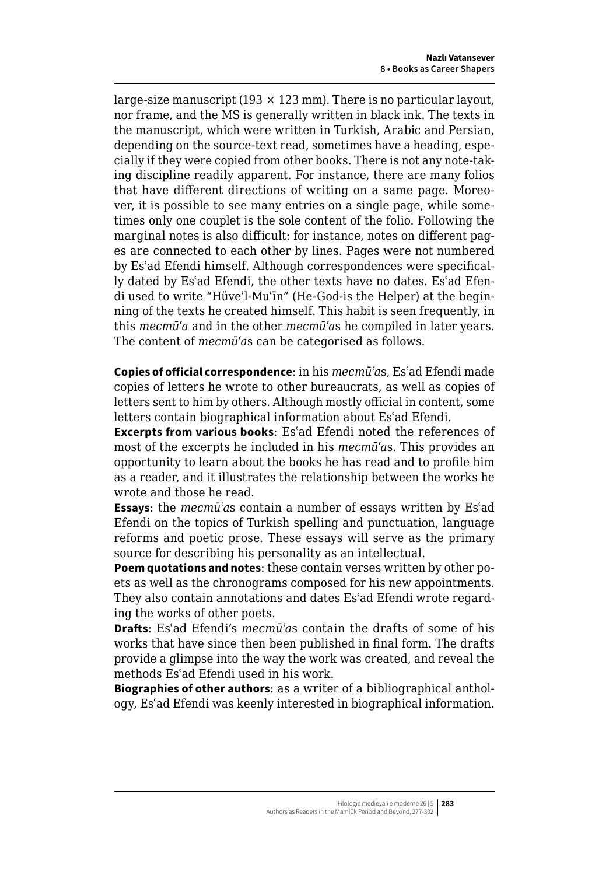large-size manuscript  $(193 \times 123 \text{ mm})$ . There is no particular layout, nor frame, and the MS is generally written in black ink. The texts in the manuscript, which were written in Turkish, Arabic and Persian, depending on the source-text read, sometimes have a heading, especially if they were copied from other books. There is not any note-taking discipline readily apparent. For instance, there are many folios that have different directions of writing on a same page. Moreover, it is possible to see many entries on a single page, while sometimes only one couplet is the sole content of the folio. Following the marginal notes is also difficult: for instance, notes on different pages are connected to each other by lines. Pages were not numbered by Esʿad Efendi himself. Although correspondences were specifically dated by Esʿad Efendi, the other texts have no dates. Esʿad Efendi used to write "Hüveʾl-Muʿīn" (He-God-is the Helper) at the beginning of the texts he created himself. This habit is seen frequently, in this *mecmūʿa* and in the other *mecmūʿa*s he compiled in later years. The content of *mecmūʿa*s can be categorised as follows.

**Copies of official correspondence**: in his *mecmūʿa*s, Esʿad Efendi made copies of letters he wrote to other bureaucrats, as well as copies of letters sent to him by others. Although mostly official in content, some letters contain biographical information about Esʿad Efendi.

**Excerpts from various books**: Esʿad Efendi noted the references of most of the excerpts he included in his *mecmūʿa*s. This provides an opportunity to learn about the books he has read and to profile him as a reader, and it illustrates the relationship between the works he wrote and those he read.

**Essays**: the *mecmūʿa*s contain a number of essays written by Esʿad Efendi on the topics of Turkish spelling and punctuation, language reforms and poetic prose. These essays will serve as the primary source for describing his personality as an intellectual.

**Poem quotations and notes**: these contain verses written by other poets as well as the chronograms composed for his new appointments. They also contain annotations and dates Esʿad Efendi wrote regarding the works of other poets.

**Drafts**: Esʿad Efendi's *mecmūʿa*s contain the drafts of some of his works that have since then been published in final form. The drafts provide a glimpse into the way the work was created, and reveal the methods Esʿad Efendi used in his work.

**Biographies of other authors**: as a writer of a bibliographical anthology, Esʿad Efendi was keenly interested in biographical information.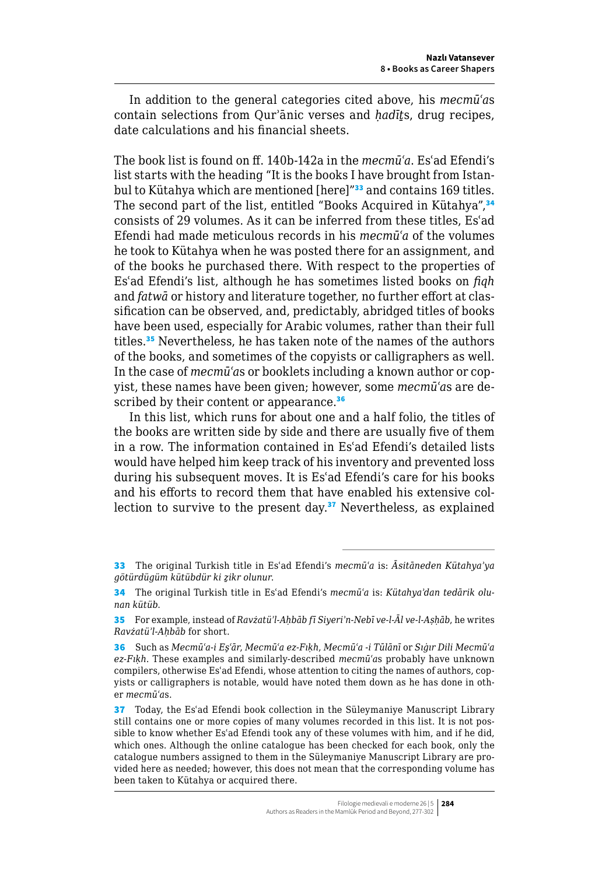In addition to the general categories cited above, his *mecmūʿa*s contain selections from Qurʾānic verses and *ḥadīṯ*s, drug recipes, date calculations and his financial sheets.

The book list is found on ff. 140b-142a in the *mecmūʿa*. Esʿad Efendi's list starts with the heading "It is the books I have brought from Istanbul to Kütahya which are mentioned [here]"<sup>33</sup> and contains 169 titles. The second part of the list, entitled "Books Acquired in Kütahya",<sup>34</sup> consists of 29 volumes. As it can be inferred from these titles, Esʿad Efendi had made meticulous records in his *mecmūʿa* of the volumes he took to Kütahya when he was posted there for an assignment, and of the books he purchased there. With respect to the properties of Esʿad Efendi's list, although he has sometimes listed books on *fiqh* and *fatwā* or history and literature together, no further effort at classification can be observed, and, predictably, abridged titles of books have been used, especially for Arabic volumes, rather than their full titles.<sup>35</sup> Nevertheless, he has taken note of the names of the authors of the books, and sometimes of the copyists or calligraphers as well. In the case of *mecmūʿa*s or booklets including a known author or copyist, these names have been given; however, some *mecmūʿa*s are described by their content or appearance.<sup>36</sup>

In this list, which runs for about one and a half folio, the titles of the books are written side by side and there are usually five of them in a row. The information contained in Esʿad Efendi's detailed lists would have helped him keep track of his inventory and prevented loss during his subsequent moves. It is Esʿad Efendi's care for his books and his efforts to record them that have enabled his extensive collection to survive to the present day. $37$  Nevertheless, as explained

<sup>33</sup> The original Turkish title in Esʿad Efendi's *mecmūʿa* is: *Āsitāneden Kütahyaʾya götürdügüm kütübdür ki ẕikr olunur*.

<sup>34</sup> The original Turkish title in Esʿad Efendi's *mecmūʿa* is: *Kütahyaʾdan tedārik olunan kütüb*.

<sup>35</sup> For example, instead of *Ravżatüʾl-Aḥbāb fī Siyeriʾn-Nebī ve-l-Āl ve-l-Aṣḥāb*, he writes *Ravżatüʾl-Aḥbāb* for short.

<sup>36</sup> Such as *Mecmūʿa-i Eşʿār*, *Mecmūʿa ez-Fıḳh*, *Mecmūʿa -i Tūlānī* or *Sıġır Dili Mecmūʿa ez-Fıḳh*. These examples and similarly-described *mecmūʿa*s probably have unknown compilers, otherwise Esʿad Efendi, whose attention to citing the names of authors, copyists or calligraphers is notable, would have noted them down as he has done in other *mecmūʿa*s.

<sup>37</sup> Today, the Es'ad Efendi book collection in the Süleymaniye Manuscript Library still contains one or more copies of many volumes recorded in this list. It is not possible to know whether Esʿad Efendi took any of these volumes with him, and if he did, which ones. Although the online catalogue has been checked for each book, only the catalogue numbers assigned to them in the Süleymaniye Manuscript Library are provided here as needed; however, this does not mean that the corresponding volume has been taken to Kütahya or acquired there.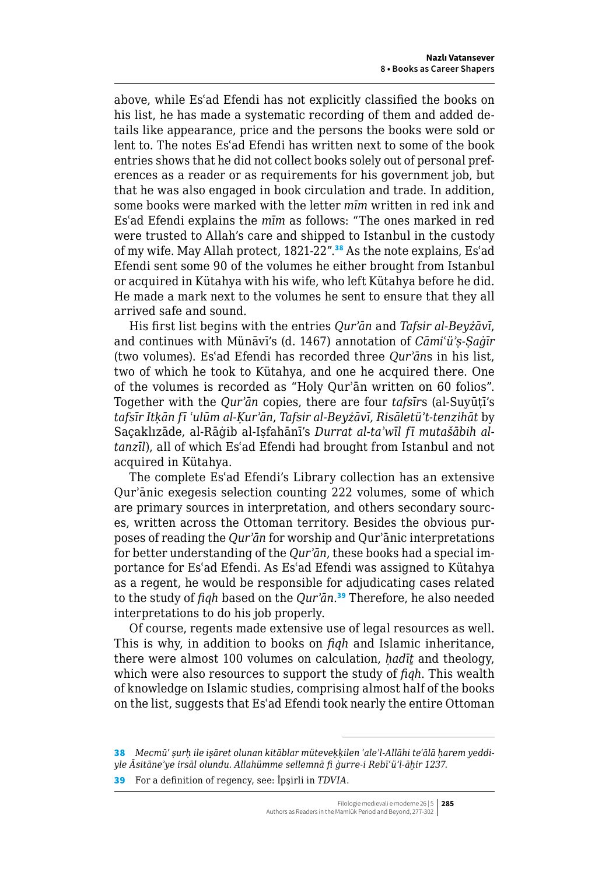above, while Esʿad Efendi has not explicitly classified the books on his list, he has made a systematic recording of them and added details like appearance, price and the persons the books were sold or lent to. The notes Esʿad Efendi has written next to some of the book entries shows that he did not collect books solely out of personal preferences as a reader or as requirements for his government job, but that he was also engaged in book circulation and trade. In addition, some books were marked with the letter *mīm* written in red ink and Esʿad Efendi explains the *mīm* as follows: "The ones marked in red were trusted to Allah's care and shipped to Istanbul in the custody of my wife. May Allah protect, 1821-22".<sup>38</sup> As the note explains, Esʿad Efendi sent some 90 of the volumes he either brought from Istanbul or acquired in Kütahya with his wife, who left Kütahya before he did. He made a mark next to the volumes he sent to ensure that they all arrived safe and sound.

His first list begins with the entries *Qurʾān* and *Tafsir al-Beyżāvī*, and continues with Münāvī's (d. 1467) annotation of *Cāmiʿüʾṣ-Ṣaġīr*  (two volumes). Esʿad Efendi has recorded three *Qurʾān*s in his list, two of which he took to Kütahya, and one he acquired there. One of the volumes is recorded as "Holy Qurʾān written on 60 folios". Together with the *Qurʾān* copies, there are four *tafsīr*s (al-Suyūṭī's *tafsīr Itḳān fī ʿulūm al-Ḳurʾān*, *Tafsir al-Beyżāvī, Risāletüʾt-tenzihāt* by Saçaklızāde, al-Rāġib al-Iṣfahānī's *Durrat al-taʾwīl fī mutašābih altanzīl*), all of which Esʿad Efendi had brought from Istanbul and not acquired in Kütahya.

The complete Esʿad Efendi's Library collection has an extensive Qurʾānic exegesis selection counting 222 volumes, some of which are primary sources in interpretation, and others secondary sources, written across the Ottoman territory. Besides the obvious purposes of reading the *Qurʾān* for worship and Qurʾānic interpretations for better understanding of the *Qurʾān*, these books had a special importance for Esʿad Efendi. As Esʿad Efendi was assigned to Kütahya as a regent, he would be responsible for adjudicating cases related to the study of *fiqh* based on the *Qurʾān*. <sup>39</sup> Therefore, he also needed interpretations to do his job properly.

Of course, regents made extensive use of legal resources as well. This is why, in addition to books on *fiqh* and Islamic inheritance, there were almost 100 volumes on calculation, *ḥadīṯ* and theology, which were also resources to support the study of *fiqh*. This wealth of knowledge on Islamic studies, comprising almost half of the books on the list, suggests that Esʿad Efendi took nearly the entire Ottoman

38 *Mecmūʿ ṣurḥ ile işāret olunan kitāblar müteveḳḳilen ʿaleʾl-Allāhi teʿālā ḥarem yeddiyle Āsitāneʾye irsāl olundu. Allahümme sellemnā fi ġurre-i Rebīʿüʾl-āḫir 1237*.

39 For a definition of regency, see: İpşirli in *TDVIA*.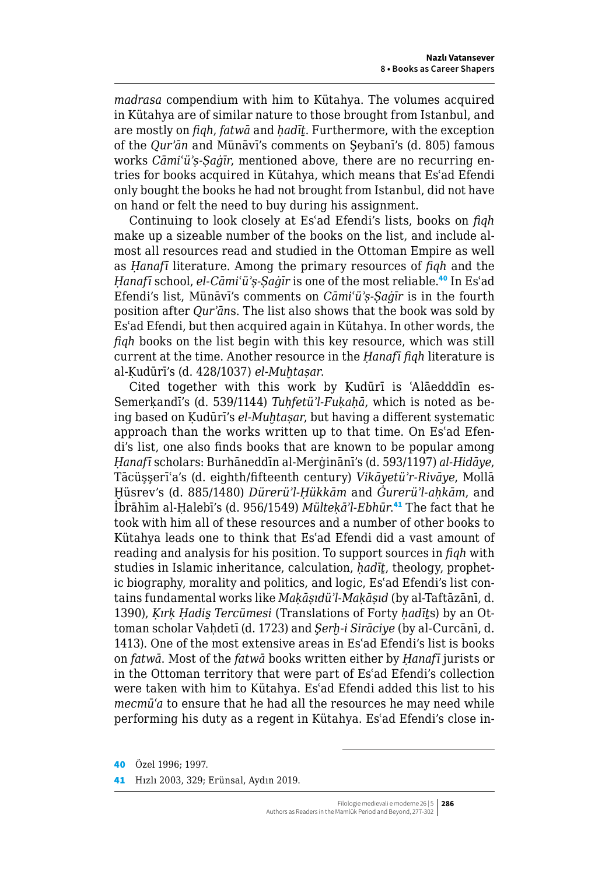*madrasa* compendium with him to Kütahya. The volumes acquired in Kütahya are of similar nature to those brought from Istanbul, and are mostly on *fiqh*, *fatwā* and *ḥadīṯ*. Furthermore, with the exception of the *Qurʾān* and Münāvī's comments on Şeybanī's (d. 805) famous works *Cāmiʿüʾṣ-Ṣaġīr*, mentioned above, there are no recurring entries for books acquired in Kütahya, which means that Esʿad Efendi only bought the books he had not brought from Istanbul, did not have on hand or felt the need to buy during his assignment.

Continuing to look closely at Esʿad Efendi's lists, books on *fiqh* make up a sizeable number of the books on the list, and include almost all resources read and studied in the Ottoman Empire as well as *Ḥanafī* literature. Among the primary resources of *fiqh* and the *Ḥanafī* school, *el-Cāmiʿüʾṣ-Ṣaġīr* is one of the most reliable.<sup>40</sup> In Esʿad Efendi's list, Münāvī's comments on *Cāmiʿüʾṣ-Ṣaġīr* is in the fourth position after *Qurʾān*s. The list also shows that the book was sold by Esʿad Efendi, but then acquired again in Kütahya. In other words, the *fiqh* books on the list begin with this key resource, which was still current at the time. Another resource in the *Ḥanafī fiqh* literature is al-Ḳudūrī's (d. 428/1037) *el-Muḫtaṣar*.

Cited together with this work by Kudūrī is 'Alāedddīn es-Semerḳandī's (d. 539/1144) *Tuḥfetüʾl-Fuḳaḥā*, which is noted as being based on Ḳudūrī's *el-Muḫtaṣar*, but having a different systematic approach than the works written up to that time. On Esʿad Efendi's list, one also finds books that are known to be popular among *Ḥanafī* scholars: Burhāneddīn al-Merġinānī's (d. 593/1197) *al-Hidāye*, Tācüşşerīʿa's (d. eighth/fifteenth century) *Vikāyetüʾr-Rivāye*, Mollā Ḫüsrev's (d. 885/1480) *Dürerüʾl-Ḥükkām* and *Ġurerüʾl-aḥkām*, and İbrāhīm al-Ḥalebī's (d. 956/1549) *Mülteḳāʾl-Ebhūr*. <sup>41</sup> The fact that he took with him all of these resources and a number of other books to Kütahya leads one to think that Esʿad Efendi did a vast amount of reading and analysis for his position. To support sources in *fiqh* with studies in Islamic inheritance, calculation, *ḥadīṯ*, theology, prophetic biography, morality and politics, and logic, Esʿad Efendi's list contains fundamental works like *Maḳāṣıdüʾl-Maḳāṣıd* (by al-Taftāzānī, d. 1390), *Ḳırḳ Ḥadis̱ Tercümesi* (Translations of Forty *ḥadīṯ*s) by an Ottoman scholar Vaḥdetī (d. 1723) and *Şerḫ-i Sirāciye* (by al-Curcānī, d. 1413). One of the most extensive areas in Esʿad Efendi's list is books on *fatwā*. Most of the *fatwā* books written either by *Ḥanafī* jurists or in the Ottoman territory that were part of Esʿad Efendi's collection were taken with him to Kütahya. Esʿad Efendi added this list to his *mecmūʿa* to ensure that he had all the resources he may need while performing his duty as a regent in Kütahya. Esʿad Efendi's close in-

<sup>40</sup> Özel 1996; 1997.

<sup>41</sup> Hızlı 2003, 329; Erünsal, Aydın 2019.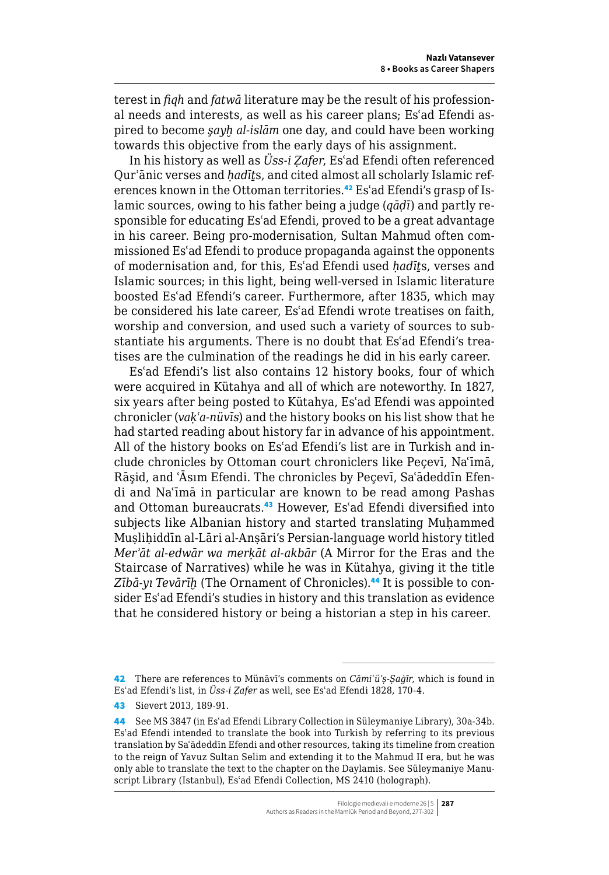terest in *fiqh* and *fatwā* literature may be the result of his professional needs and interests, as well as his career plans; Esʿad Efendi aspired to become *şayḫ al-islām* one day, and could have been working towards this objective from the early days of his assignment.

In his history as well as *Üss-i Ẓafer*, Esʿad Efendi often referenced Qurʾānic verses and *ḥadīṯ*s, and cited almost all scholarly Islamic references known in the Ottoman territories.<sup>42</sup> Es'ad Efendi's grasp of Islamic sources, owing to his father being a judge (*qāḍī*) and partly responsible for educating Esʿad Efendi, proved to be a great advantage in his career. Being pro-modernisation, Sultan Mahmud often commissioned Esʿad Efendi to produce propaganda against the opponents of modernisation and, for this, Esʿad Efendi used *ḥadīṯ*s, verses and Islamic sources; in this light, being well-versed in Islamic literature boosted Esʿad Efendi's career. Furthermore, after 1835, which may be considered his late career, Esʿad Efendi wrote treatises on faith, worship and conversion, and used such a variety of sources to substantiate his arguments. There is no doubt that Esʿad Efendi's treatises are the culmination of the readings he did in his early career.

Esʿad Efendi's list also contains 12 history books, four of which were acquired in Kütahya and all of which are noteworthy. In 1827, six years after being posted to Kütahya, Esʿad Efendi was appointed chronicler (*vaḳʿa-nüvīs*) and the history books on his list show that he had started reading about history far in advance of his appointment. All of the history books on Esʿad Efendi's list are in Turkish and include chronicles by Ottoman court chroniclers like Peçevī, Naʿīmā, Rāşid, and ʿĀsım Efendi. The chronicles by Peçevī, Saʿādeddīn Efendi and Naʿīmā in particular are known to be read among Pashas and Ottoman bureaucrats.<sup>43</sup> However, Es'ad Efendi diversified into subjects like Albanian history and started translating Muhammed Muslihiddīn al-Lāri al-Ansāri's Persian-language world history titled *Merʾāt al-edwār wa merḳāt al-akbār* (A Mirror for the Eras and the Staircase of Narratives) while he was in Kütahya, giving it the title *Zībā-yı Tevārīḫ* (The Ornament of Chronicles).44 It is possible to consider Esʿad Efendi's studies in history and this translation as evidence that he considered history or being a historian a step in his career.

<sup>42</sup> There are references to Münāvī's comments on *Cāmiʿüʾṣ-Ṣaġīr*, which is found in Esʿad Efendi's list, in *Üss-i Ẓafer* as well, see Esʿad Efendi 1828, 170-4.

<sup>43</sup> Sievert 2013, 189-91.

<sup>44</sup> See MS 3847 (in Esʿad Efendi Library Collection in Süleymaniye Library), 30a-34b. Esʿad Efendi intended to translate the book into Turkish by referring to its previous translation by Saʿādeddīn Efendi and other resources, taking its timeline from creation to the reign of Yavuz Sultan Selim and extending it to the Mahmud II era, but he was only able to translate the text to the chapter on the Daylamis. See Süleymaniye Manuscript Library (Istanbul), Esʿad Efendi Collection, MS 2410 (holograph).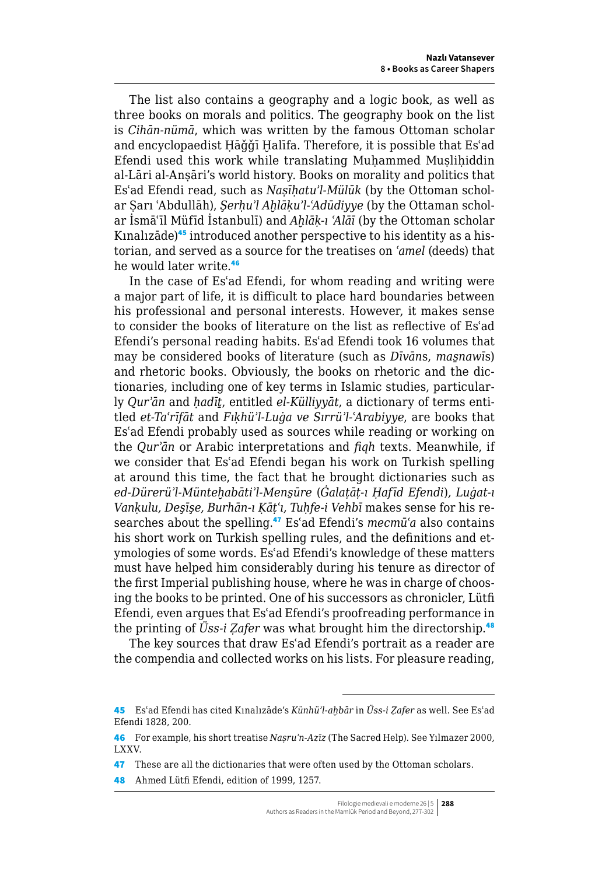The list also contains a geography and a logic book, as well as three books on morals and politics. The geography book on the list is *Cihān-nümā*, which was written by the famous Ottoman scholar and encyclopaedist Ḥāǧǧī Ḫalīfa. Therefore, it is possible that Esʿad Efendi used this work while translating Muḥammed Muṣliḥiddin al-Lāri al-Anṣāri's world history. Books on morality and politics that Esʿad Efendi read, such as *Naṣīḥatuʾl-Mülūk* (by the Ottoman scholar Ṣarı ʿAbdullāh), *Şerḥuʾl Aḫlāḳuʾl-ʿAdūdiyye* (by the Ottaman scholar İsmāʿīl Müfīd İstanbulī) and *Aḫlāḳ-ı ʿAlāī* (by the Ottoman scholar Kınalızāde)45 introduced another perspective to his identity as a historian, and served as a source for the treatises on *ʿamel* (deeds) that he would later write.<sup>46</sup>

In the case of Esʿad Efendi, for whom reading and writing were a major part of life, it is difficult to place hard boundaries between his professional and personal interests. However, it makes sense to consider the books of literature on the list as reflective of Esʿad Efendi's personal reading habits. Esʿad Efendi took 16 volumes that may be considered books of literature (such as *Dīvān*s, *mas̱nawī*s) and rhetoric books. Obviously, the books on rhetoric and the dictionaries, including one of key terms in Islamic studies, particularly *Qurʾān* and *ḥadīṯ*, entitled *el-Külliyyāt*, a dictionary of terms entitled *et-Taʿrīfāt* and *Fıḳhüʾl-Luġa ve Sırrüʾl-*ʿ*Arabiyye*, are books that Esʿad Efendi probably used as sources while reading or working on the *Qurʾān* or Arabic interpretations and *fiqh* texts. Meanwhile, if we consider that Esʿad Efendi began his work on Turkish spelling at around this time, the fact that he brought dictionaries such as *ed-Dürerüʾl-Münteḫabātiʾl-Mens̱ūre* (*Ġalaṭāṭ-ı Ḥafīd Efendi*)*, Luġat-ı Vanḳulu, Deşīşe, Burhān-ı Ḳāṭʿı, Tuḥfe-i Vehbī* makes sense for his researches about the spelling.<sup>47</sup> Esʿad Efendi's *mecmūʿa* also contains his short work on Turkish spelling rules, and the definitions and etymologies of some words. Esʿad Efendi's knowledge of these matters must have helped him considerably during his tenure as director of the first Imperial publishing house, where he was in charge of choosing the books to be printed. One of his successors as chronicler, Lütfi Efendi, even argues that Esʿad Efendi's proofreading performance in the printing of *Üss-i Ẓafer* was what brought him the directorship.<sup>48</sup>

The key sources that draw Esʿad Efendi's portrait as a reader are the compendia and collected works on his lists. For pleasure reading,

<sup>45</sup> Esʿad Efendi has cited Kınalızāde's *Künhüʾl-aḫbār* in *Üss-i Ẓafer* as well. See Esʿad Efendi 1828, 200.

<sup>46</sup> For example, his short treatise *Naṣruʾn-Azīz* (The Sacred Help). See Yılmazer 2000, LXXV.

<sup>47</sup> These are all the dictionaries that were often used by the Ottoman scholars.

<sup>48</sup> Ahmed Lütfi Efendi, edition of 1999, 1257.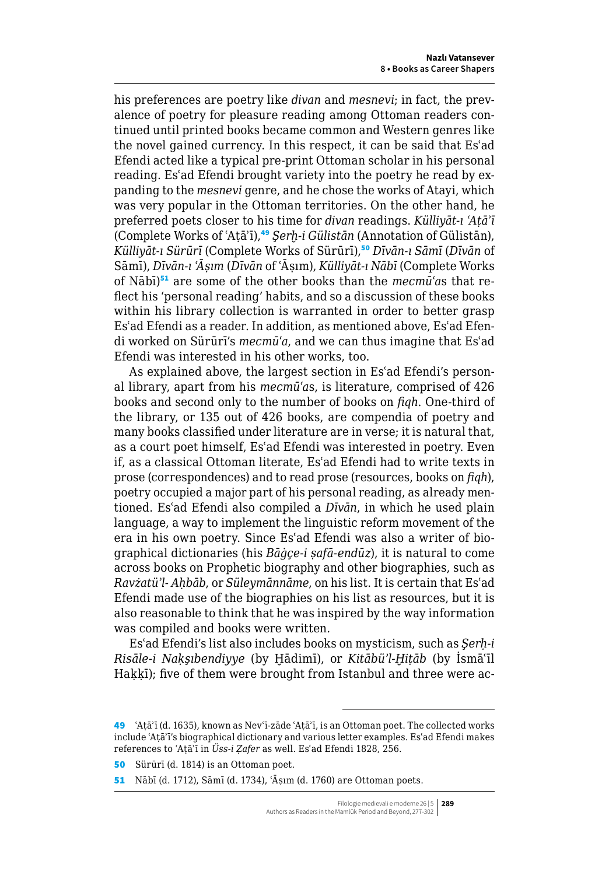his preferences are poetry like *divan* and *mesnevi*; in fact, the prevalence of poetry for pleasure reading among Ottoman readers continued until printed books became common and Western genres like the novel gained currency. In this respect, it can be said that Esʿad Efendi acted like a typical pre-print Ottoman scholar in his personal reading. Esʿad Efendi brought variety into the poetry he read by expanding to the *mesnevi* genre, and he chose the works of Atayi, which was very popular in the Ottoman territories. On the other hand, he preferred poets closer to his time for *divan* readings. *Külliyāt-ı ʿAṭāʾī*  (Complete Works of ʿAṭāʾī),<sup>49</sup> *Şerḫ-i Gülistān* (Annotation of Gülistān), *Külliyāt-ı Sürūrī* (Complete Works of Sürūrī),<sup>50</sup> *Dīvān-ı Sāmī* (*Dīvān* of Sāmī), *Dīvān-ı ʿĀṣım* (*Dīvān* of ʿĀṣım), *Külliyāt-ı Nābī* (Complete Works of Nābī)<sup>51</sup> are some of the other books than the *mecmūʿa*s that reflect his 'personal reading' habits, and so a discussion of these books within his library collection is warranted in order to better grasp Esʿad Efendi as a reader. In addition, as mentioned above, Esʿad Efendi worked on Sürūrī's *mecmūʿa*, and we can thus imagine that Esʿad Efendi was interested in his other works, too.

As explained above, the largest section in Esʿad Efendi's personal library, apart from his *mecmūʿa*s, is literature, comprised of 426 books and second only to the number of books on *fiqh*. One-third of the library, or 135 out of 426 books, are compendia of poetry and many books classified under literature are in verse; it is natural that, as a court poet himself, Esʿad Efendi was interested in poetry. Even if, as a classical Ottoman literate, Esʿad Efendi had to write texts in prose (correspondences) and to read prose (resources, books on *fiqh*), poetry occupied a major part of his personal reading, as already mentioned. Esʿad Efendi also compiled a *Dīvān*, in which he used plain language, a way to implement the linguistic reform movement of the era in his own poetry. Since Esʿad Efendi was also a writer of biographical dictionaries (his *Bāġçe-i ṣafā-endūz*), it is natural to come across books on Prophetic biography and other biographies, such as *Ravżatüʾl- Aḥbāb*, or *Süleymānnāme*, on his list. It is certain that Esʿad Efendi made use of the biographies on his list as resources, but it is also reasonable to think that he was inspired by the way information was compiled and books were written.

Esʿad Efendi's list also includes books on mysticism, such as *Şerḥ-i Risāle-i Naḳşıbendiyye* (by Ḫādimī), or *Kitābüʾl-Ḫiṭāb* (by İsmāʿīl Hakkī); five of them were brought from Istanbul and three were ac-

<sup>49</sup> ʿAṭāʾī (d. 1635), known as Nevʿī-zāde ʿAṭāʾī, is an Ottoman poet. The collected works include ʿAṭāʾī's biographical dictionary and various letter examples. Esʿad Efendi makes references to ʿAṭāʾī in *Üss-i Ẓafer* as well. Esʿad Efendi 1828, 256.

<sup>50</sup> Sürūrī (d. 1814) is an Ottoman poet.

<sup>51</sup> Nābī (d. 1712), Sāmī (d. 1734), ʿĀṣım (d. 1760) are Ottoman poets.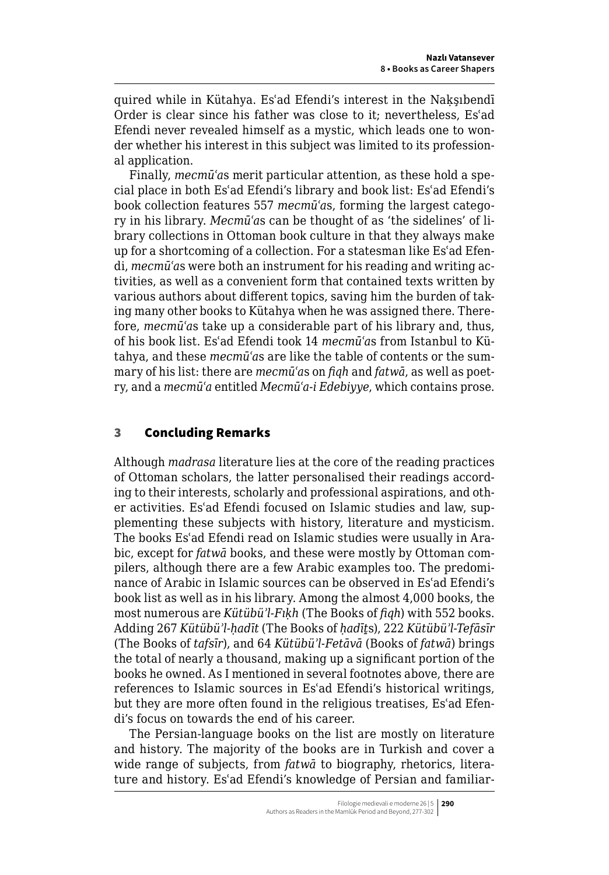quired while in Kütahya. Esʿad Efendi's interest in the Naḳşıbendī Order is clear since his father was close to it; nevertheless, Esʿad Efendi never revealed himself as a mystic, which leads one to wonder whether his interest in this subject was limited to its professional application.

Finally, *mecmūʿa*s merit particular attention, as these hold a special place in both Esʿad Efendi's library and book list: Esʿad Efendi's book collection features 557 *mecmūʿa*s, forming the largest category in his library. *Mecmūʿa*s can be thought of as 'the sidelines' of library collections in Ottoman book culture in that they always make up for a shortcoming of a collection. For a statesman like Esʿad Efendi, *mecmūʿa*s were both an instrument for his reading and writing activities, as well as a convenient form that contained texts written by various authors about different topics, saving him the burden of taking many other books to Kütahya when he was assigned there. Therefore, *mecmūʿa*s take up a considerable part of his library and, thus, of his book list. Esʿad Efendi took 14 *mecmūʿa*s from Istanbul to Kütahya, and these *mecmūʿa*s are like the table of contents or the summary of his list: there are *mecmūʿa*s on *fiqh* and *fatwā*, as well as poetry, and a *mecmūʿa* entitled *Mecmūʿa-i Edebiyye*, which contains prose.

## 3 Concluding Remarks

Although *madrasa* literature lies at the core of the reading practices of Ottoman scholars, the latter personalised their readings according to their interests, scholarly and professional aspirations, and other activities. Esʿad Efendi focused on Islamic studies and law, supplementing these subjects with history, literature and mysticism. The books Esʿad Efendi read on Islamic studies were usually in Arabic, except for *fatwā* books, and these were mostly by Ottoman compilers, although there are a few Arabic examples too. The predominance of Arabic in Islamic sources can be observed in Esʿad Efendi's book list as well as in his library. Among the almost 4,000 books, the most numerous are *Kütübüʾl-Fıḳh* (The Books of *fiqh*) with 552 books. Adding 267 *Kütübüʾl-ḥadīt* (The Books of *ḥadīṯ*s), 222 *Kütübüʾl-Tefāsīr* (The Books of *tafsīr*), and 64 *Kütübüʾl-Fetāvā* (Books of *fatwā*) brings the total of nearly a thousand, making up a significant portion of the books he owned. As I mentioned in several footnotes above, there are references to Islamic sources in Esʿad Efendi's historical writings, but they are more often found in the religious treatises, Esʿad Efendi's focus on towards the end of his career.

The Persian-language books on the list are mostly on literature and history. The majority of the books are in Turkish and cover a wide range of subjects, from *fatwā* to biography, rhetorics, literature and history. Esʿad Efendi's knowledge of Persian and familiar-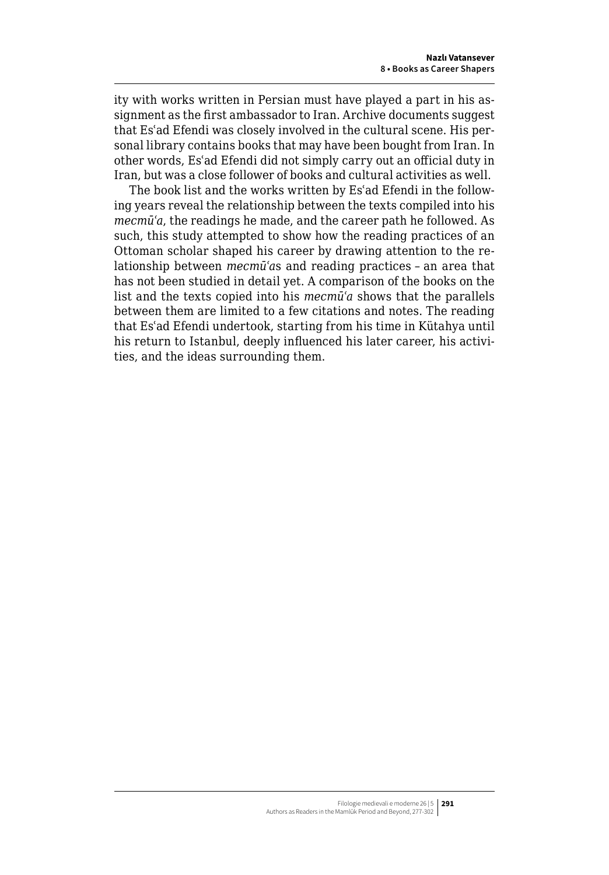ity with works written in Persian must have played a part in his assignment as the first ambassador to Iran. Archive documents suggest that Esʿad Efendi was closely involved in the cultural scene. His personal library contains books that may have been bought from Iran. In other words, Esʿad Efendi did not simply carry out an official duty in Iran, but was a close follower of books and cultural activities as well.

The book list and the works written by Esʿad Efendi in the following years reveal the relationship between the texts compiled into his *mecmūʿa*, the readings he made, and the career path he followed. As such, this study attempted to show how the reading practices of an Ottoman scholar shaped his career by drawing attention to the relationship between *mecmūʿa*s and reading practices – an area that has not been studied in detail yet. A comparison of the books on the list and the texts copied into his *mecmūʿa* shows that the parallels between them are limited to a few citations and notes. The reading that Esʿad Efendi undertook, starting from his time in Kütahya until his return to Istanbul, deeply influenced his later career, his activities, and the ideas surrounding them.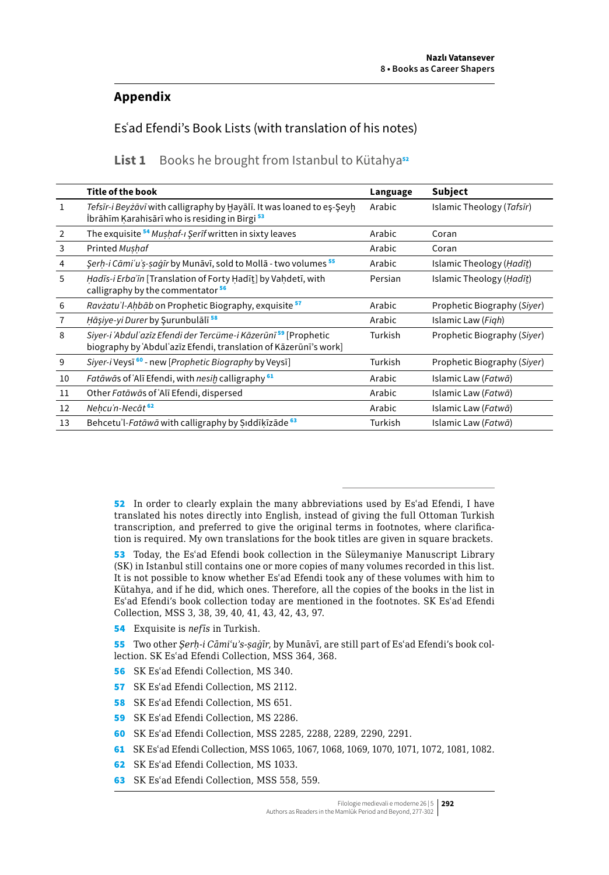## **Appendix**

Esʿad Efendi's Book Lists (with translation of his notes)

List 1 Books he brought from Istanbul to Kütahya<sup>52</sup>

|              | <b>Title of the book</b>                                                                                                            | Language | Subject                     |
|--------------|-------------------------------------------------------------------------------------------------------------------------------------|----------|-----------------------------|
| $\mathbf{1}$ | Tefsīr-i Beyżāvī with calligraphy by Hayālī. It was loaned to eş-Şeyh<br>İbrāhīm Karahisārī who is residing in Birgi <sup>53</sup>  | Arabic   | Islamic Theology (Tafsīr)   |
| 2            | The exquisite <sup>54</sup> Mushaf-I Şerif written in sixty leaves                                                                  | Arabic   | Coran                       |
| 3            | Printed Mushaf                                                                                                                      | Arabic   | Coran                       |
| 4            | Şerh-i Cāmi'u's-saqīr by Munāvī, sold to Mollā - two volumes <sup>55</sup>                                                          | Arabic   | Islamic Theology (Hadīt)    |
| 5            | Hadīs-i Erba'īn [Translation of Forty Hadīt] by Vahdetī, with<br>calligraphy by the commentator <sup>56</sup>                       | Persian  | Islamic Theology (Hadīt)    |
| 6            | <i>Ravżatu'l-Ahbāb</i> on Prophetic Biography, exquisite <sup>57</sup>                                                              | Arabic   | Prophetic Biography (Siyer) |
| 7            | Hāşiye-yi Durer by Şurunbulālī <sup>58</sup>                                                                                        | Arabic   | Islamic Law (Figh)          |
| 8            | Siyer-i ʿAbdulʿazīz Efendi der Tercüme-i Kāzerūnī 59 [Prophetic<br>biography by 'Abdul'azīz Efendi, translation of Kāzerūnī's work] | Turkish  | Prophetic Biography (Siyer) |
| 9            | Siyer-i Veysī <sup>60</sup> - new [Prophetic Biography by Veysī]                                                                    | Turkish  | Prophetic Biography (Siyer) |
| 10           | Fatāwās of 'Alī Efendi, with nesih calligraphy <sup>61</sup>                                                                        | Arabic   | Islamic Law (Fatwā)         |
| 11           | Other Fatāwās of ʿAlī Efendi, dispersed                                                                                             | Arabic   | Islamic Law (Fatwā)         |
| 12           | Nehcu'n-Necāt <sup>62</sup>                                                                                                         | Arabic   | Islamic Law (Fatwā)         |
| 13           | Behcetu'l-Fatāwā with calligraphy by Siddīkīzāde <sup>63</sup>                                                                      | Turkish  | Islamic Law (Fatwā)         |

52 In order to clearly explain the many abbreviations used by Es'ad Efendi, I have translated his notes directly into English, instead of giving the full Ottoman Turkish transcription, and preferred to give the original terms in footnotes, where clarification is required. My own translations for the book titles are given in square brackets.

53 Today, the Esʿad Efendi book collection in the Süleymaniye Manuscript Library (SK) in Istanbul still contains one or more copies of many volumes recorded in this list. It is not possible to know whether Esʿad Efendi took any of these volumes with him to Kütahya, and if he did, which ones. Therefore, all the copies of the books in the list in Esʿad Efendi's book collection today are mentioned in the footnotes. SK Esʿad Efendi Collection, MSS 3, 38, 39, 40, 41, 43, 42, 43, 97.

54 Exquisite is *nefīs* in Turkish.

55 Two other *Şerḥ-i Cāmiʿuʾs-ṣaġīr*, by Munāvī, are still part of Esʿad Efendi's book collection. SK Esʿad Efendi Collection, MSS 364, 368.

- 56 SK Esʿad Efendi Collection, MS 340.
- 57 SK Es'ad Efendi Collection, MS 2112.
- 58 SK Es'ad Efendi Collection, MS 651.
- 59 SK Esʿad Efendi Collection, MS 2286.
- 60 SK Esʿad Efendi Collection, MSS 2285, 2288, 2289, 2290, 2291.
- 61 SK Esʿad Efendi Collection, MSS 1065, 1067, 1068, 1069, 1070, 1071, 1072, 1081, 1082.
- 62 SK Esʿad Efendi Collection, MS 1033.
- 63 SK Esʿad Efendi Collection, MSS 558, 559.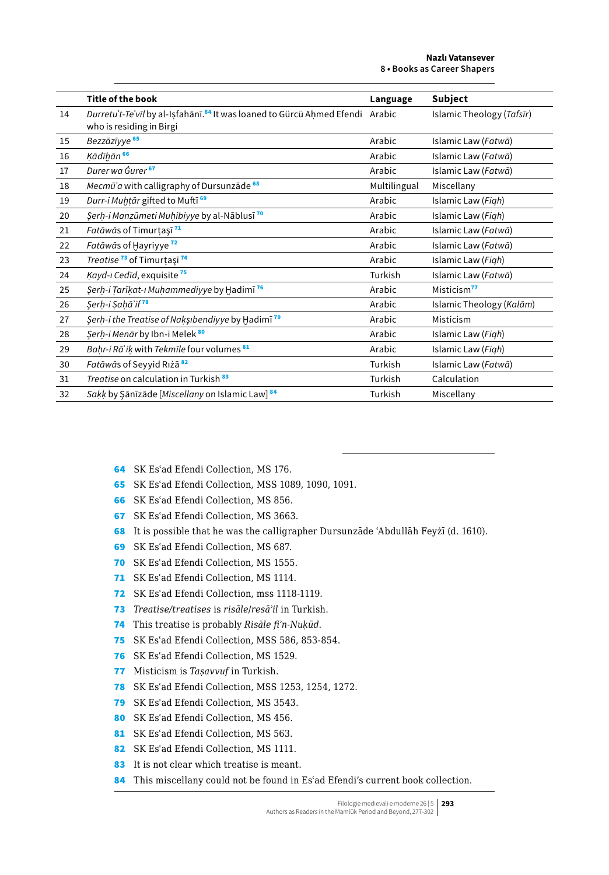|    | <b>Title of the book</b>                                                                                              | Language     | Subject                   |
|----|-----------------------------------------------------------------------------------------------------------------------|--------------|---------------------------|
| 14 | Durretu't-Te'vīl by al-Isfahānī. <sup>64</sup> It was loaned to Gürcü Ahmed Efendi Arabic<br>who is residing in Birgi |              | Islamic Theology (Tafsir) |
| 15 | Bezzāzīyye <sup>65</sup>                                                                                              | Arabic       | Islamic Law (Fatwā)       |
| 16 | Ķādīḫān 66                                                                                                            | Arabic       | Islamic Law (Fatwā)       |
| 17 | Durer wa Gurer <sup>67</sup>                                                                                          | Arabic       | Islamic Law (Fatwā)       |
| 18 | Mecmū'a with calligraphy of Dursunzāde <sup>68</sup>                                                                  | Multilingual | Miscellany                |
| 19 | Durr-i Muhtār gifted to Muftī <sup>69</sup>                                                                           | Arabic       | Islamic Law (Figh)        |
| 20 | Şerh-i Manzūmeti Muhibiyye by al-Nāblusī <sup>70</sup>                                                                | Arabic       | Islamic Law (Figh)        |
| 21 | Fatāwās of Timurtașī <sup>71</sup>                                                                                    | Arabic       | Islamic Law (Fatwā)       |
| 22 | Fatāwās of Hayriyye <sup>72</sup>                                                                                     | Arabic       | Islamic Law (Fatwā)       |
| 23 | Treatise <sup>73</sup> of Timurtași <sup>74</sup>                                                                     | Arabic       | Islamic Law (Figh)        |
| 24 | Kayd-ı Cedīd, exquisite <sup>75</sup>                                                                                 | Turkish      | Islamic Law (Fatwā)       |
| 25 | Şerh-i Tarīkat-ı Muhammediyye by Hadimī <sup>76</sup>                                                                 | Arabic       | Misticism <sup>77</sup>   |
| 26 | Şerh-i Sahā'if <sup>78</sup>                                                                                          | Arabic       | Islamic Theology (Kalām)  |
| 27 | Serh-i the Treatise of Naksibendiyye by Hadimi <sup>79</sup>                                                          | Arabic       | Misticism                 |
| 28 | Şerh-i Menār by Ibn-i Melek 80                                                                                        | Arabic       | Islamic Law (Figh)        |
| 29 | Bahr-i Rā'ik with Tekmīle four volumes <sup>81</sup>                                                                  | Arabic       | Islamic Law (Figh)        |
| 30 | Fatāwās of Seyyid Riżā <sup>82</sup>                                                                                  | Turkish      | Islamic Law (Fatwā)       |
| 31 | Treatise on calculation in Turkish <sup>83</sup>                                                                      | Turkish      | Calculation               |
| 32 | Sakk by Şānīzāde [Miscellany on Islamic Law] <sup>84</sup>                                                            | Turkish      | Miscellany                |

- SK Esʿad Efendi Collection, MS 176.
- SK Esʿad Efendi Collection, MSS 1089, 1090, 1091.
- SK Esʿad Efendi Collection, MS 856.
- SK Esʿad Efendi Collection, MS 3663.
- It is possible that he was the calligrapher Dursunzāde ʿAbdullāh Feyżī (d. 1610).
- SK Esʿad Efendi Collection, MS 687.
- SK Esʿad Efendi Collection, MS 1555.
- 71 SK Es'ad Efendi Collection, MS 1114.
- SK Esʿad Efendi Collection, mss 1118-1119.
- *Treatise/treatises* is *risāle*/*resāʾil* in Turkish.
- This treatise is probably *Risāle fiʾn-Nuḳūd*.
- SK Esʿad Efendi Collection, MSS 586, 853-854.
- SK Esʿad Efendi Collection, MS 1529.
- Misticism is *Taṣavvuf* in Turkish.
- SK Esʿad Efendi Collection, MSS 1253, 1254, 1272.
- SK Esʿad Efendi Collection, MS 3543.
- 80 SK Es'ad Efendi Collection, MS 456.
- 81 SK Es'ad Efendi Collection, MS 563.
- 82 SK Es'ad Efendi Collection, MS 1111.
- 83 It is not clear which treatise is meant.
- 84 This miscellany could not be found in Es'ad Efendi's current book collection.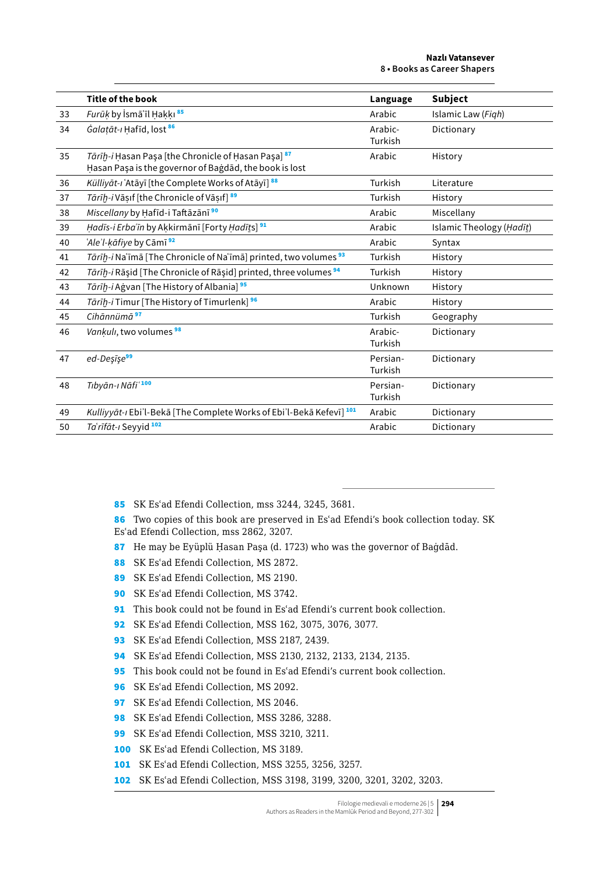|    | <b>Title of the book</b>                                                                                                 | Language            | Subject                  |
|----|--------------------------------------------------------------------------------------------------------------------------|---------------------|--------------------------|
| 33 | Furūķ by İsmāʿīl Hakkı 85                                                                                                | Arabic              | Islamic Law (Figh)       |
| 34 | Galatāt-ı Hafīd, lost <sup>86</sup>                                                                                      | Arabic-<br>Turkish  | Dictionary               |
| 35 | Tārīh-i Hasan Paşa [the Chronicle of Hasan Paşa] <sup>87</sup><br>Hasan Paşa is the governor of Bagdad, the book is lost | Arabic              | History                  |
| 36 | Külliyāt-ı ʿAtāyī [the Complete Works of Atāyī] 88                                                                       | Turkish             | Literature               |
| 37 | Tārīḫ-i Vāṣif [the Chronicle of Vāsif] 89                                                                                | Turkish             | History                  |
| 38 | Miscellany by Hafīd-i Taftāzānī <sup>90</sup>                                                                            | Arabic              | Miscellany               |
| 39 | Hadīs-i Erba'īn by Akkirmānī [Forty Hadīts] <sup>91</sup>                                                                | Arabic              | Islamic Theology (Hadīt) |
| 40 | 'Ale'l-kāfiye by Cāmī <sup>92</sup>                                                                                      | Arabic              | Syntax                   |
| 41 | Tārīh-i Naʿīmā [The Chronicle of Naʿīmā] printed, two volumes <sup>93</sup>                                              | Turkish             | History                  |
| 42 | Tārīḥ-i Rāṣid [The Chronicle of Rāṣid] printed, three volumes <sup>94</sup>                                              | Turkish             | History                  |
| 43 | Tārīḥ-i Aġvan [The History of Albania] <sup>95</sup>                                                                     | Unknown             | History                  |
| 44 | Tārīḫ-i Timur [The History of Timurlenk] 96                                                                              | Arabic              | History                  |
| 45 | Cihānnümā <sup>97</sup>                                                                                                  | Turkish             | Geography                |
| 46 | <i>Vankulı</i> , two volumes <sup>98</sup>                                                                               | Arabic-<br>Turkish  | Dictionary               |
| 47 | ed-Desīse <sup>99</sup>                                                                                                  | Persian-<br>Turkish | Dictionary               |
| 48 | Tıbyān-ı Nāfi'100                                                                                                        | Persian-<br>Turkish | Dictionary               |
| 49 | Kulliyyāt-ı Ebi'l-Bekā [The Complete Works of Ebi'l-Bekā Kefevī] 101                                                     | Arabic              | Dictionary               |
| 50 | Ta'rīfāt-ı Seyyid 102                                                                                                    | Arabic              | Dictionary               |

- 85 SK Esʿad Efendi Collection, mss 3244, 3245, 3681.
- 86 Two copies of this book are preserved in Es'ad Efendi's book collection today. SK Esʿad Efendi Collection, mss 2862, 3207.
- 87 He may be Eyüplü Hasan Paşa (d. 1723) who was the governor of Baġdād.
- 88 SK Es'ad Efendi Collection, MS 2872.
- 89 SK Es'ad Efendi Collection, MS 2190.
- 90 SK Esʿad Efendi Collection, MS 3742.
- 91 This book could not be found in Es'ad Efendi's current book collection.
- 92 SK Esʿad Efendi Collection, MSS 162, 3075, 3076, 3077.
- 93 SK Es'ad Efendi Collection, MSS 2187, 2439.
- 94 SK Esʿad Efendi Collection, MSS 2130, 2132, 2133, 2134, 2135.
- 95 This book could not be found in Es'ad Efendi's current book collection.
- 96 SK Esʿad Efendi Collection, MS 2092.
- 97 SK Es'ad Efendi Collection, MS 2046.
- 98 SK Es'ad Efendi Collection, MSS 3286, 3288.
- 99 SK Es'ad Efendi Collection, MSS 3210, 3211.
- 100 SK Esʿad Efendi Collection, MS 3189.
- 101 SK Es'ad Efendi Collection, MSS 3255, 3256, 3257.
- 102 SK Esʿad Efendi Collection, MSS 3198, 3199, 3200, 3201, 3202, 3203.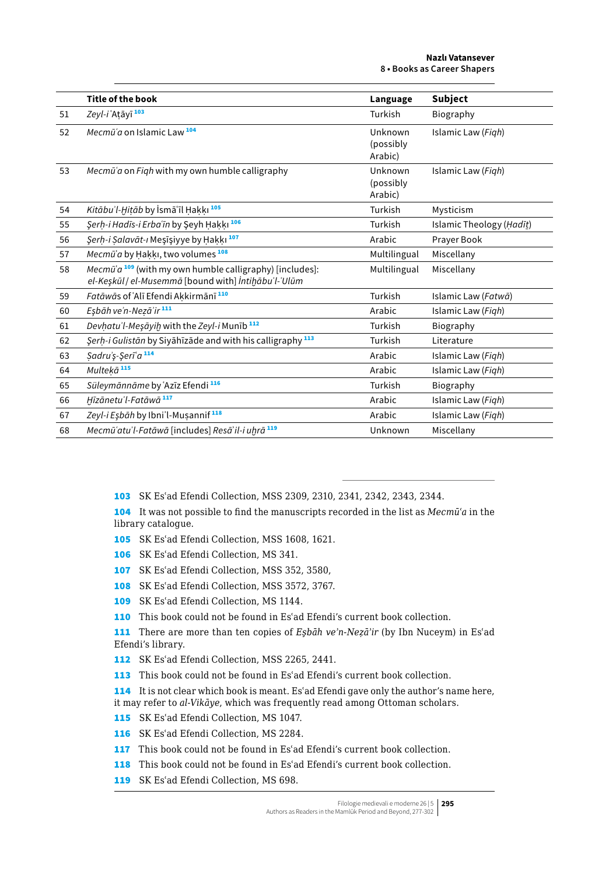|    | Title of the book                                                                                                  | Language                        | Subject                  |
|----|--------------------------------------------------------------------------------------------------------------------|---------------------------------|--------------------------|
| 51 | Zeyl-i Atāyī <sup>103</sup>                                                                                        | Turkish                         | Biography                |
| 52 | Mecmū'a on Islamic Law <sup>104</sup>                                                                              | Unknown<br>(possibly<br>Arabic) | Islamic Law (Figh)       |
| 53 | Mecmū'a on Figh with my own humble calligraphy                                                                     | Unknown<br>(possibly<br>Arabic) | Islamic Law (Figh)       |
| 54 | Kitābu'l-Hitāb by İsmā'īl Hakkı <sup>105</sup>                                                                     | Turkish                         | Mysticism                |
| 55 | Şerh-i Hadīs-i Erba'īn by Şeyh Hakkı <sup>106</sup>                                                                | Turkish                         | Islamic Theology (Hadīt) |
| 56 | Şerh-i Salavāt-ı Meşīşiyye by Hakkı <sup>107</sup>                                                                 | Arabic                          | Prayer Book              |
| 57 | Mecmū'a by Hakki, two volumes 108                                                                                  | Multilingual                    | Miscellany               |
| 58 | Mecmū'a $109$ (with my own humble calligraphy) [includes]:<br>el-Keşkūl / el-Musemmā [bound with] İntihābu'l-'Ulūm | Multilingual                    | Miscellany               |
| 59 | Fatāwās of Alī Efendi Akkirmānī <sup>110</sup>                                                                     | Turkish                         | Islamic Law (Fatwā)      |
| 60 | Eşbāh ve'n-Nezā'ir 111                                                                                             | Arabic                          | Islamic Law (Figh)       |
| 61 | Devhatu'l-Meşāyih with the Zeyl-i Munīb <sup>112</sup>                                                             | Turkish                         | Biography                |
| 62 | Serh-i Gulistān by Siyāhīzāde and with his calligraphy <sup>113</sup>                                              | Turkish                         | Literature               |
| 63 | Sadru'ş-Şeri'a 114                                                                                                 | Arabic                          | Islamic Law (Figh)       |
| 64 | Multekā <sup>115</sup>                                                                                             | Arabic                          | Islamic Law (Figh)       |
| 65 | Süleymānnāme by ʿAzīz Efendi 116                                                                                   | Turkish                         | Biography                |
| 66 | Hīzānetu'l-Fatāwā <sup>117</sup>                                                                                   | Arabic                          | Islamic Law (Figh)       |
| 67 | Zeyl-i Eşbāh by Ibni'l-Musannif <sup>118</sup>                                                                     | Arabic                          | Islamic Law (Figh)       |
| 68 | Mecmū'atu'l-Fatāwā [includes] Resā'il-i uhrā 119                                                                   | Unknown                         | Miscellany               |

103 SK Esʿad Efendi Collection, MSS 2309, 2310, 2341, 2342, 2343, 2344.

104 It was not possible to find the manuscripts recorded in the list as *Mecmūʿa* in the library catalogue.

105 SK Esʿad Efendi Collection, MSS 1608, 1621.

106 SK Esʿad Efendi Collection, MS 341.

107 SK Esʿad Efendi Collection, MSS 352, 3580,

108 SK Esʿad Efendi Collection, MSS 3572, 3767.

109 SK Esʿad Efendi Collection, MS 1144.

110 This book could not be found in Es'ad Efendi's current book collection.

111 There are more than ten copies of *Eşbāh veʾn-Neẓāʾir* (by Ibn Nuceym) in Esʿad Efendi's library.

112 SK Esʿad Efendi Collection, MSS 2265, 2441.

113 This book could not be found in Es'ad Efendi's current book collection.

114 It is not clear which book is meant. Es'ad Efendi gave only the author's name here, it may refer to *al-Vikāye*, which was frequently read among Ottoman scholars.

115 SK Esʿad Efendi Collection, MS 1047.

116 SK Esʿad Efendi Collection, MS 2284.

117 This book could not be found in Es'ad Efendi's current book collection.

118 This book could not be found in Es'ad Efendi's current book collection.

119 SK Es'ad Efendi Collection, MS 698.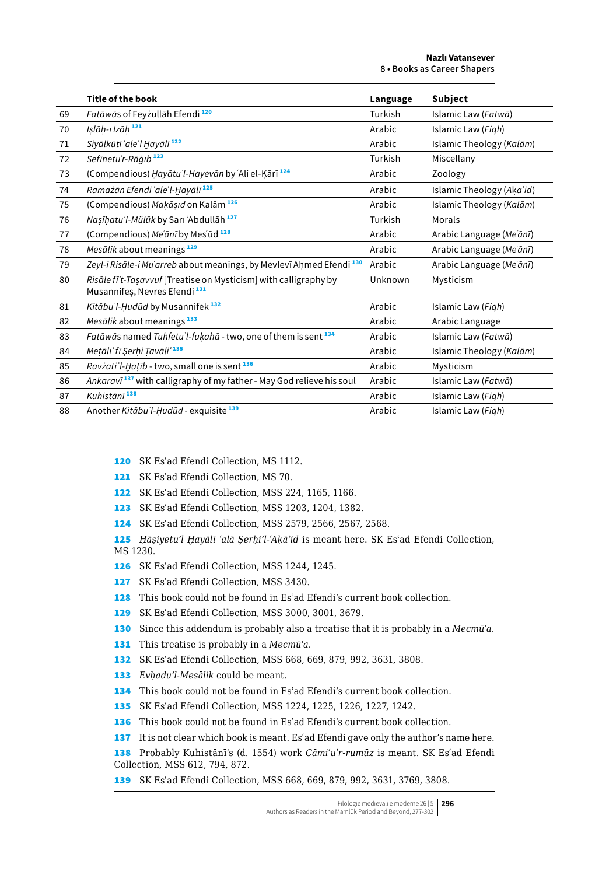|    | <b>Title of the book</b>                                                                                     | Language | Subject                   |
|----|--------------------------------------------------------------------------------------------------------------|----------|---------------------------|
| 69 | Fatāwās of Feyzullāh Efendi <sup>120</sup>                                                                   | Turkish  | Islamic Law (Fatwā)       |
| 70 | Islāh-ı Īzāh 121                                                                                             | Arabic   | Islamic Law (Figh)        |
| 71 | Siyālkūtī 'ale'l Hayālī <sup>122</sup>                                                                       | Arabic   | Islamic Theology (Kalām)  |
| 72 | Sefinetu'r-Rāģib <sup>123</sup>                                                                              | Turkish  | Miscellany                |
| 73 | (Compendious) Hayātu'l-Hayevān by ʿAli el-Kārī <sup>124</sup>                                                | Arabic   | Zoology                   |
| 74 | Ramażān Efendi 'ale'l-Hayālī <sup>125</sup>                                                                  | Arabic   | Islamic Theology (Aka'id) |
| 75 | (Compendious) Makāsıd on Kalām <sup>126</sup>                                                                | Arabic   | Islamic Theology (Kalām)  |
| 76 | Nasīhatu'l-Mülūk by Sarı `Abdullāh <sup>127</sup>                                                            | Turkish  | Morals                    |
| 77 | (Compendious) Me'ānī by Mes'ūd 128                                                                           | Arabic   | Arabic Language (Me'ānī)  |
| 78 | Mesālik about meanings <sup>129</sup>                                                                        | Arabic   | Arabic Language (Me'ānī)  |
| 79 | Zeyl-i Risāle-i Mu'arreb about meanings, by Mevlevī Ahmed Efendi <sup>130</sup>                              | Arabic   | Arabic Language (Me'ānī)  |
| 80 | Risāle fī't-Tasavvuf [Treatise on Mysticism] with calligraphy by<br>Musannifes, Nevres Efendi <sup>131</sup> | Unknown  | Mysticism                 |
| 81 | Kitābu'l-Hudūd by Musannifek <sup>132</sup>                                                                  | Arabic   | Islamic Law (Figh)        |
| 82 | Mesālik about meanings <sup>133</sup>                                                                        | Arabic   | Arabic Language           |
| 83 | Fatāwās named Tuhfetu'l-fukahā - two, one of them is sent 134                                                | Arabic   | Islamic Law (Fatwā)       |
| 84 | Metāli' fī Şerhi Tavāli' 135                                                                                 | Arabic   | Islamic Theology (Kalām)  |
| 85 | Ravzati'l-Hatīb - two, small one is sent <sup>136</sup>                                                      | Arabic   | Mysticism                 |
| 86 | Ankaravī <sup>137</sup> with calligraphy of my father - May God relieve his soul                             | Arabic   | Islamic Law (Fatwā)       |
| 87 | Kuhistānī <sup>138</sup>                                                                                     | Arabic   | Islamic Law (Figh)        |
| 88 | Another Kitābu'l-Hudūd - exquisite <sup>139</sup>                                                            | Arabic   | Islamic Law (Figh)        |

SK Esʿad Efendi Collection, MS 1112.

121 SK Es'ad Efendi Collection, MS 70.

SK Esʿad Efendi Collection, MSS 224, 1165, 1166.

SK Esʿad Efendi Collection, MSS 1203, 1204, 1382.

SK Esʿad Efendi Collection, MSS 2579, 2566, 2567, 2568.

 *Ḥāşiyetuʾl Ḫayālī ʿalā Şerḥiʾl-ʿAḳāʾid* is meant here. SK Esʿad Efendi Collection, MS 1230.

SK Esʿad Efendi Collection, MSS 1244, 1245.

127 SK Es'ad Efendi Collection, MSS 3430.

128 This book could not be found in Es'ad Efendi's current book collection.

SK Esʿad Efendi Collection, MSS 3000, 3001, 3679.

Since this addendum is probably also a treatise that it is probably in a *Mecmūʿa*.

This treatise is probably in a *Mecmūʿa*.

SK Esʿad Efendi Collection, MSS 668, 669, 879, 992, 3631, 3808.

*Evḥaduʾl-Mesālik* could be meant.

134 This book could not be found in Es'ad Efendi's current book collection.

SK Esʿad Efendi Collection, MSS 1224, 1225, 1226, 1227, 1242.

136 This book could not be found in Es'ad Efendi's current book collection.

137 It is not clear which book is meant. Es'ad Efendi gave only the author's name here.

 Probably Kuhistānī's (d. 1554) work *Cāmiʿuʾr-rumūz* is meant. SK Esʿad Efendi Collection, MSS 612, 794, 872.

SK Esʿad Efendi Collection, MSS 668, 669, 879, 992, 3631, 3769, 3808.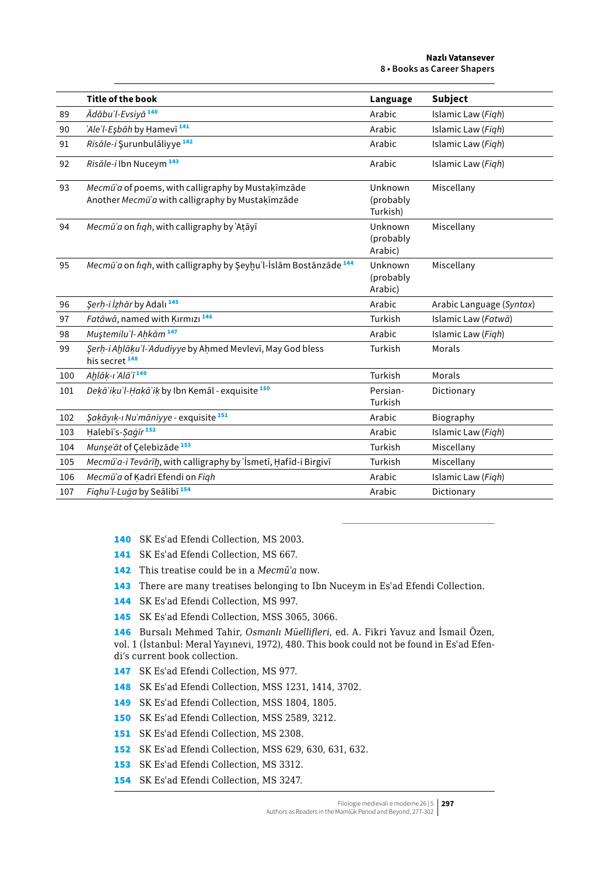|     | <b>Title of the book</b>                                                                               | Language                         | <b>Subject</b>           |
|-----|--------------------------------------------------------------------------------------------------------|----------------------------------|--------------------------|
| 89  | Ādābu'l-Evsiyā <sup>140</sup>                                                                          | Arabic                           | Islamic Law (Figh)       |
| 90  | 'Ale'l-Esbāh by Hamevī <sup>141</sup>                                                                  | Arabic                           | Islamic Law (Figh)       |
| 91  | Risāle-i Surunbulāliyye <sup>142</sup>                                                                 | Arabic                           | Islamic Law (Figh)       |
| 92  | Risāle-i Ibn Nuceym <sup>143</sup>                                                                     | Arabic                           | Islamic Law (Figh)       |
| 93  | Mecmū'a of poems, with calligraphy by Mustakīmzāde<br>Another Mecmū'a with calligraphy by Mustakīmzāde | Unknown<br>(probably<br>Turkish) | Miscellany               |
| 94  | Mecmū'a on figh, with calligraphy by 'Atāyī                                                            | Unknown<br>(probably<br>Arabic)  | Miscellany               |
| 95  | Mecmū'a on figh, with calligraphy by Şeyhu'l-İslām Bostānzāde <sup>144</sup>                           | Unknown<br>(probably<br>Arabic)  | Miscellany               |
| 96  | Şerh-i İzhār by Adalı <sup>145</sup>                                                                   | Arabic                           | Arabic Language (Syntax) |
| 97  | Fatāwā, named with Kırmızı <sup>146</sup>                                                              | Turkish                          | Islamic Law (Fatwā)      |
| 98  | Mustemilu'l-Ahkām <sup>147</sup>                                                                       | Arabic                           | Islamic Law (Figh)       |
| 99  | Şerh-i Ahlāku'l-'Adudiyye by Ahmed Mevlevī, May God bless<br>his secret <sup>148</sup>                 | Turkish                          | Morals                   |
| 100 | Ahlāk-ı Alā'ī <sup>149</sup>                                                                           | Turkish                          | Morals                   |
| 101 | Dekā'iku'l-Hakā'ik by Ibn Kemāl - exquisite <sup>150</sup>                                             | Persian-<br>Turkish              | Dictionary               |
| 102 | Şakāyık-ı Nu'māniyye - exquisite 151                                                                   | Arabic                           | Biography                |
| 103 | Halebī's-Saqīr <sup>152</sup>                                                                          | Arabic                           | Islamic Law (Figh)       |
| 104 | Munse'āt of Celebizāde <sup>153</sup>                                                                  | Turkish                          | Miscellany               |
| 105 | Mecmū'a-i Tevārīh, with calligraphy by 'İsmetī, Hafīd-i Birgivī                                        | Turkish                          | Miscellany               |
| 106 | Mecmū'a of Kadrī Efendi on Figh                                                                        | Arabic                           | Islamic Law (Figh)       |
| 107 | Fighu'l-Luga by Sealibī <sup>154</sup>                                                                 | Arabic                           | Dictionary               |

140 SK Esʿad Efendi Collection, MS 2003.

- 141 SK Es'ad Efendi Collection, MS 667.
- 142 This treatise could be in a *Mecmūʿa* now.
- 143 There are many treatises belonging to Ibn Nuceym in Es'ad Efendi Collection.
- 144 SK Esʿad Efendi Collection, MS 997.
- 145 SK Es'ad Efendi Collection, MSS 3065, 3066.

146 Bursalı Mehmed Tahir, *Osmanlı Müellifleri*, ed. A. Fikri Yavuz and İsmail Özen, vol. 1 (İstanbul: Meral Yayınevi, 1972), 480. This book could not be found in Esʿad Efendi's current book collection.

- 147 SK Es'ad Efendi Collection, MS 977.
- 148 SK Esʿad Efendi Collection, MSS 1231, 1414, 3702.
- 149 SK Esʿad Efendi Collection, MSS 1804, 1805.

150 SK Esʿad Efendi Collection, MSS 2589, 3212.

- 151 SK Es'ad Efendi Collection, MS 2308.
- 152 SK Esʿad Efendi Collection, MSS 629, 630, 631, 632.
- 153 SK Es'ad Efendi Collection, MS 3312.
- 154 SK Esʿad Efendi Collection, MS 3247.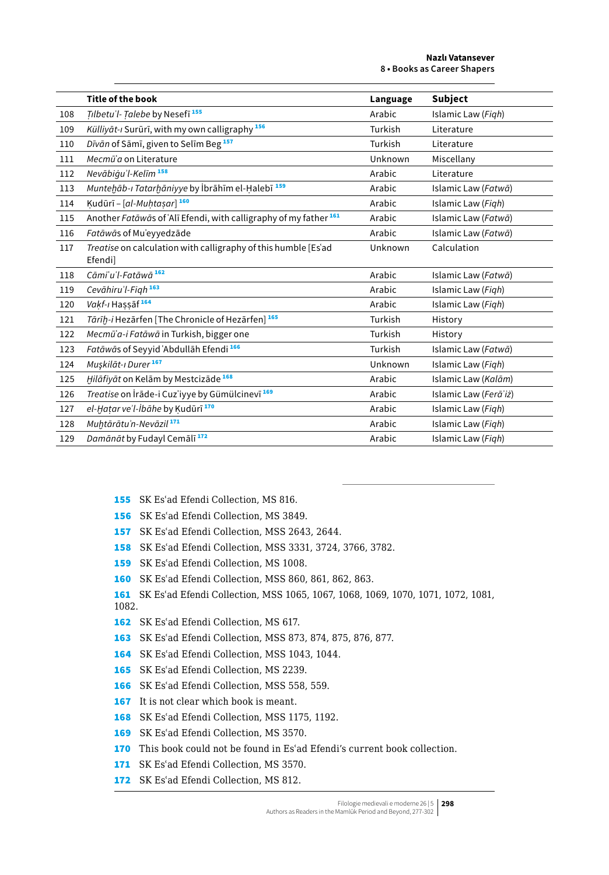|     | <b>Title of the book</b>                                                     | Language | Subject               |
|-----|------------------------------------------------------------------------------|----------|-----------------------|
| 108 | Tilbetu'l-Talebe by Nesefi <sup>155</sup>                                    | Arabic   | Islamic Law (Figh)    |
| 109 | Külliyāt-ı Surūrī, with my own calligraphy <sup>156</sup>                    | Turkish  | Literature            |
| 110 | Dīvān of Sāmī, given to Selīm Beg <sup>157</sup>                             | Turkish  | Literature            |
| 111 | Mecmū'a on Literature                                                        | Unknown  | Miscellany            |
| 112 | Nevābiģu'l-Kelīm <sup>158</sup>                                              | Arabic   | Literature            |
| 113 | Muntehāb-ı Tatarhāniyye by İbrāhīm el-Halebī <sup>159</sup>                  | Arabic   | Islamic Law (Fatwā)   |
| 114 | Kudūrī - [al-Muhtasar] 160                                                   | Arabic   | Islamic Law (Figh)    |
| 115 | Another Fatāwās of 'Alī Efendi, with calligraphy of my father <sup>161</sup> | Arabic   | Islamic Law (Fatwā)   |
| 116 | Fatāwās of Mu'eyyedzāde                                                      | Arabic   | Islamic Law (Fatwā)   |
| 117 | Treatise on calculation with calligraphy of this humble [Es'ad<br>Efendi]    | Unknown  | Calculation           |
| 118 | Cāmi'u'l-Fatāwā <sup>162</sup>                                               | Arabic   | Islamic Law (Fatwā)   |
| 119 | Cevāhiru'l-Figh <sup>163</sup>                                               | Arabic   | Islamic Law (Figh)    |
| 120 | <i>Vakf-ı</i> Hassāf <del>164</del>                                          | Arabic   | Islamic Law (Figh)    |
| 121 | Tārīḥ-i Hezārfen [The Chronicle of Hezārfen] 165                             | Turkish  | History               |
| 122 | Mecmū'a-i Fatāwā in Turkish, bigger one                                      | Turkish  | History               |
| 123 | Fatāwās of Seyyid 'Abdullāh Efendi <sup>166</sup>                            | Turkish  | Islamic Law (Fatwā)   |
| 124 | Muşkilāt-ı Durer <sup>167</sup>                                              | Unknown  | Islamic Law (Figh)    |
| 125 | Hilāfiyāt on Kelām by Mestcizāde <sup>168</sup>                              | Arabic   | Islamic Law (Kalām)   |
| 126 | Treatise on İrāde-i Cuz'iyye by Gümülcinevī <sup>169</sup>                   | Arabic   | Islamic Law (Ferā'iż) |
| 127 | el-Hatar ve'l-İbāhe by Kudūrī <sup>170</sup>                                 | Arabic   | Islamic Law (Figh)    |
| 128 | Muhtārātu'n-Nevāzil <sup>171</sup>                                           | Arabic   | Islamic Law (Figh)    |
| 129 | Damānāt by Fudayl Cemālī <sup>172</sup>                                      | Arabic   | Islamic Law (Figh)    |

- SK Esʿad Efendi Collection, MS 816.
- SK Esʿad Efendi Collection, MS 3849.
- SK Esʿad Efendi Collection, MSS 2643, 2644.
- SK Esʿad Efendi Collection, MSS 3331, 3724, 3766, 3782.
- 159 SK Es'ad Efendi Collection, MS 1008.
- SK Esʿad Efendi Collection, MSS 860, 861, 862, 863.
- SK Esʿad Efendi Collection, MSS 1065, 1067, 1068, 1069, 1070, 1071, 1072, 1081, 1082.
- SK Esʿad Efendi Collection, MS 617.
- SK Esʿad Efendi Collection, MSS 873, 874, 875, 876, 877.
- SK Esʿad Efendi Collection, MSS 1043, 1044.
- SK Esʿad Efendi Collection, MS 2239.
- SK Esʿad Efendi Collection, MSS 558, 559.
- It is not clear which book is meant.
- 168 SK Es'ad Efendi Collection, MSS 1175, 1192.
- SK Esʿad Efendi Collection, MS 3570.
- 170 This book could not be found in Es'ad Efendi's current book collection.
- 171 SK Es'ad Efendi Collection, MS 3570.
- 172 SK Es'ad Efendi Collection, MS 812.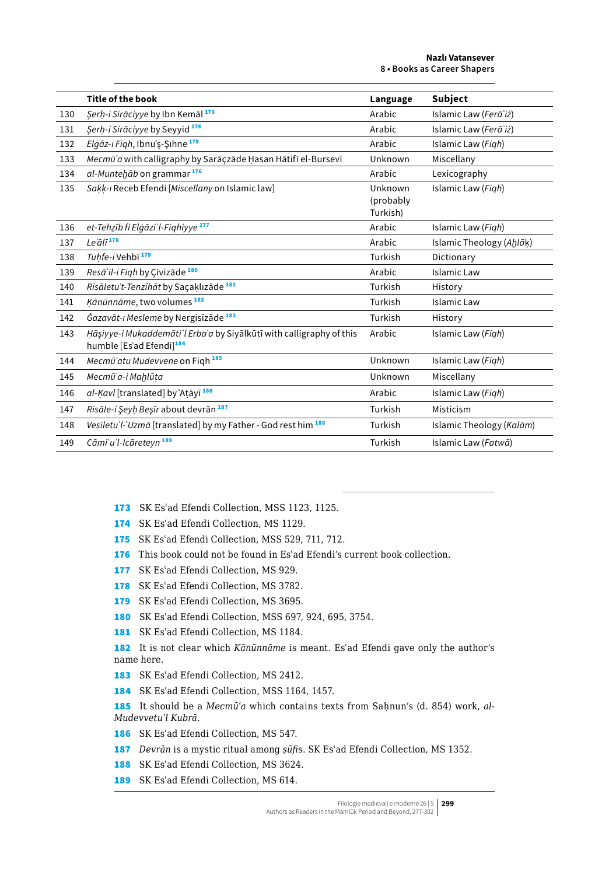|     | <b>Title of the book</b>                                                                                     | Language                         | <b>Subject</b>           |
|-----|--------------------------------------------------------------------------------------------------------------|----------------------------------|--------------------------|
| 130 | Şerh-i Sirāciyye by Ibn Kemāl 173                                                                            | Arabic                           | Islamic Law (Ferā'iż)    |
| 131 | Şerh-i Sirāciyye by Seyyid 174                                                                               | Arabic                           | Islamic Law (Ferā'iż)    |
| 132 | Elgāz-ı Figh, Ibnu'ş-Şıhne <sup>175</sup>                                                                    | Arabic                           | Islamic Law (Figh)       |
| 133 | Mecmū'a with calligraphy by Sarāçzāde Hasan Hātifī el-Bursevī                                                | Unknown                          | Miscellany               |
| 134 | al-Muntehāb on grammar <sup>176</sup>                                                                        | Arabic                           | Lexicography             |
| 135 | Sakk-ı Receb Efendi [Miscellany on Islamic law]                                                              | Unknown<br>(probably<br>Turkish) | Islamic Law (Figh)       |
| 136 | et-Tehzīb fi Elgāzi'l-Fighiyye <sup>177</sup>                                                                | Arabic                           | Islamic Law (Figh)       |
| 137 | Le'ālī <sup>178</sup>                                                                                        | Arabic                           | Islamic Theology (Ahlāk) |
| 138 | Tuhfe-i Vehbī <sup>179</sup>                                                                                 | Turkish                          | Dictionary               |
| 139 | Resā'il-i Figh by Çivizāde <sup>180</sup>                                                                    | Arabic                           | <b>Islamic Law</b>       |
| 140 | Risāletu't-Tenzīhāt by Saçaklızāde <sup>181</sup>                                                            | Turkish                          | History                  |
| 141 | Kānūnnāme, two volumes <sup>182</sup>                                                                        | Turkish                          | Islamic Law              |
| 142 | Gazavāt-ı Mesleme by Nergisīzāde <sup>183</sup>                                                              | Turkish                          | History                  |
| 143 | Hāşiyye-i Mukaddemāti'l Erba'a by Siyālkūtī with calligraphy of this<br>humble [Es'ad Efendi] <sup>184</sup> | Arabic                           | Islamic Law (Figh)       |
| 144 | Mecmū'atu Mudevvene on Figh <sup>185</sup>                                                                   | Unknown                          | Islamic Law (Figh)       |
| 145 | Mecmū'a-i Mahlūta                                                                                            | Unknown                          | Miscellany               |
| 146 | al-Kavl [translated] by `Atayī <sup>186</sup>                                                                | Arabic                           | Islamic Law (Figh)       |
| 147 | Risāle-i Şeyh Beşīr about devrān 187                                                                         | Turkish                          | Misticism                |
| 148 | Vesiletu'l-'Uzmā [translated] by my Father - God rest him 188                                                | Turkish                          | Islamic Theology (Kalām) |
| 149 | Cāmi'u'l-Icāreteyn <sup>189</sup>                                                                            | Turkish                          | Islamic Law (Fatwā)      |

- 173 SK Esʿad Efendi Collection, MSS 1123, 1125.
- 174 SK Es'ad Efendi Collection, MS 1129.
- 175 SK Es'ad Efendi Collection, MSS 529, 711, 712.
- 176 This book could not be found in Es'ad Efendi's current book collection.
- 177 SK Es'ad Efendi Collection, MS 929.
- 178 SK Es'ad Efendi Collection, MS 3782.
- 179 SK Es'ad Efendi Collection, MS 3695.
- 180 SK Esʿad Efendi Collection, MSS 697, 924, 695, 3754.
- 181 SK Es'ad Efendi Collection, MS 1184.

182 It is not clear which *Kānūnnāme* is meant. Esʿad Efendi gave only the author's name here.

- 183 SK Es'ad Efendi Collection, MS 2412.
- 184 SK Es'ad Efendi Collection, MSS 1164, 1457.

185 It should be a *Mecmū'a* which contains texts from Sahnun's (d. 854) work, al-*Mudevvetuʾl Kubrā*.

- 186 SK Esʿad Efendi Collection, MS 547.
- 187 *Devrān* is a mystic ritual among *ṣūfi*s. SK Esʿad Efendi Collection, MS 1352.
- 188 SK Es'ad Efendi Collection, MS 3624.
- 189 SK Es'ad Efendi Collection, MS 614.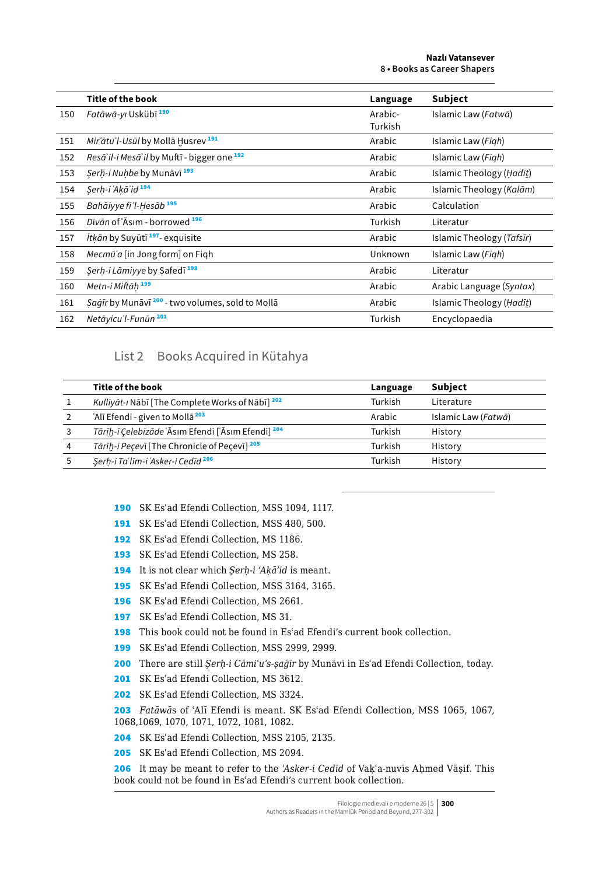|     | Title of the book                                    | Language           | <b>Subject</b>            |
|-----|------------------------------------------------------|--------------------|---------------------------|
| 150 | Fatāwā-yi Uskübī <sup>190</sup>                      | Arabic-<br>Turkish | Islamic Law (Fatwā)       |
| 151 | <i>Mir'ātu'l-Usūl</i> by Mollā Husrev <sup>191</sup> | Arabic             | Islamic Law (Figh)        |
| 152 | Resā'il-i Mesā'il by Muftī - bigger one 192          | Arabic             | Islamic Law (Figh)        |
| 153 | Serh-i Nuhbe by Munāvī <sup>193</sup>                | Arabic             | Islamic Theology (Hadīt)  |
| 154 | Serh-i ʿAkāʾid <sup>194</sup>                        | Arabic             | Islamic Theology (Kalām)  |
| 155 | Bahāiyye fi'l-Hesāb <sup>195</sup>                   | Arabic             | Calculation               |
| 156 | Dīvān of ʿĀsım - borrowed <sup>196</sup>             | Turkish            | Literatur                 |
| 157 | <i>İtkān</i> by Suyūtī <sup>197</sup> - exquisite    | Arabic             | Islamic Theology (Tafsīr) |
| 158 | Mecmū'a [in Jong form] on Figh                       | Unknown            | Islamic Law (Figh)        |
| 159 | Serh-i Lāmiyye by Safedī <sup>198</sup>              | Arabic             | Literatur                 |
| 160 | Metn-i Miftāh <sup>199</sup>                         | Arabic             | Arabic Language (Syntax)  |
| 161 | Saġīr by Munāvī 200 - two volumes, sold to Mollā     | Arabic             | Islamic Theology (Hadīt)  |
| 162 | Netāyicu'l-Funūn <sup>201</sup>                      | Turkish            | Encyclopaedia             |

## List 2 Books Acquired in Kütahya

|   | Title of the book                                           | Language | Subject             |
|---|-------------------------------------------------------------|----------|---------------------|
|   | Kulliyāt-ı Nābī [The Complete Works of Nābī] <sup>202</sup> | Turkish  | Literature          |
|   | 'Alī Efendi - given to Mollā <sup>203</sup>                 | Arabic   | Islamic Law (Fatwā) |
|   | Tārīh-i Celebizāde ʿĀsım Efendi [ʿĀsım Efendi] 204          | Turkish  | History             |
| 4 | Tārīḥ-i Peçevī [The Chronicle of Pecevī] <sup>205</sup>     | Turkish  | History             |
|   | Serh-i Taʻlīm-i 'Asker-i Cedīd <sup>206</sup>               | Turkish  | History             |

SK Esʿad Efendi Collection, MSS 1094, 1117.

- 191 SK Es'ad Efendi Collection, MSS 480, 500.
- 192 SK Es'ad Efendi Collection, MS 1186.
- 193 SK Es'ad Efendi Collection, MS 258.
- It is not clear which *Şerḥ-i 'Aḳāʾid* is meant.
- SK Esʿad Efendi Collection, MSS 3164, 3165.
- SK Esʿad Efendi Collection, MS 2661.
- SK Esʿad Efendi Collection, MS 31.
- This book could not be found in Esʿad Efendi's current book collection.
- SK Esʿad Efendi Collection, MSS 2999, 2999.
- There are still *Şerḥ-i Cāmiʿuʾs-ṣaġīr* by Munāvī in Esʿad Efendi Collection, today.
- 201 SK Es'ad Efendi Collection, MS 3612.
- 202 SK Es'ad Efendi Collection, MS 3324.

 *Fatāwā*s of ʿAlī Efendi is meant. SK Esʿad Efendi Collection, MSS 1065, 1067, 1068,1069, 1070, 1071, 1072, 1081, 1082.

SK Esʿad Efendi Collection, MSS 2105, 2135.

SK Esʿad Efendi Collection, MS 2094.

 It may be meant to refer to the *ʿAsker-i Cedīd* of Vaḳʿa-nuvīs Aḥmed Vāṣif. This book could not be found in Esʿad Efendi's current book collection.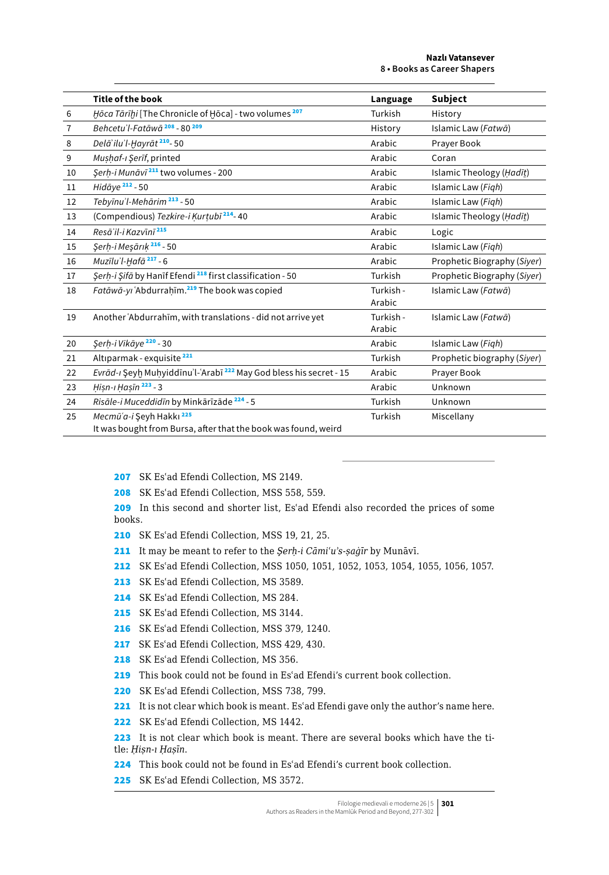|                | <b>Title of the book</b>                                                                              | Language            | Subject                     |
|----------------|-------------------------------------------------------------------------------------------------------|---------------------|-----------------------------|
| 6              | <i>Hōca Tārīḫi</i> [The Chronicle of Hōca] - two volumes 207                                          | Turkish             | History                     |
| $\overline{7}$ | Behcetu'l-Fatāwā <sup>208</sup> - 80 <sup>209</sup>                                                   | History             | Islamic Law (Fatwā)         |
| 8              | Delā'ilu'l-Ḥayrāt <sup>210</sup> -50                                                                  | Arabic              | Prayer Book                 |
| 9              | Mushaf-ı Şerīf, printed                                                                               | Arabic              | Coran                       |
| 10             | Şerh-i Munāvī <sup>211</sup> two volumes - 200                                                        | Arabic              | Islamic Theology (Hadīt)    |
| 11             | Hidāye <sup>212</sup> - 50                                                                            | Arabic              | Islamic Law (Figh)          |
| 12             | Tebyīnu'l-Mehārim <sup>213</sup> - 50                                                                 | Arabic              | Islamic Law (Figh)          |
| 13             | (Compendious) Tezkire-i Kurtubī <sup>214</sup> -40                                                    | Arabic              | Islamic Theology (Hadīt)    |
| 14             | Resāʾil-i Kazvīnī <sup>215</sup>                                                                      | Arabic              | Logic                       |
| 15             | Şerh-i Meşārık <sup>216</sup> - 50                                                                    | Arabic              | Islamic Law (Figh)          |
| 16             | Muzīlu'l-Hafā <sup>217</sup> - 6                                                                      | Arabic              | Prophetic Biography (Siyer) |
| 17             | Şerh-i Şifā by Hanīf Efendi <sup>218</sup> first classification - 50                                  | Turkish             | Prophetic Biography (Siyer) |
| 18             | Fatāwā-yi ʿAbdurrahīm. <sup>219</sup> The book was copied                                             | Turkish -<br>Arabic | Islamic Law (Fatwā)         |
| 19             | Another Abdurrahim, with translations - did not arrive yet                                            | Turkish -<br>Arabic | Islamic Law (Fatwā)         |
| 20             | Şerh-i Vikāye <sup>220</sup> - 30                                                                     | Arabic              | Islamic Law (Figh)          |
| 21             | Altıparmak - exquisite <sup>221</sup>                                                                 | Turkish             | Prophetic biography (Siyer) |
| 22             | Evrād-ı Şeyh Muhyiddīnu'l-ʿArabī 222 May God bless his secret - 15                                    | Arabic              | Prayer Book                 |
| 23             | Hisn-ı Hasīn 223 - 3                                                                                  | Arabic              | Unknown                     |
| 24             | Risāle-i Muceddidīn by Minkārīzāde <sup>224</sup> - 5                                                 | Turkish             | Unknown                     |
| 25             | Mecmū'a-i Seyh Hakkı <sup>225</sup><br>It was bought from Bursa, after that the book was found, weird | Turkish             | Miscellany                  |

207 SK Es'ad Efendi Collection, MS 2149.

208 SK Es'ad Efendi Collection, MSS 558, 559.

209 In this second and shorter list, Es'ad Efendi also recorded the prices of some books.

- 210 SK Esʿad Efendi Collection, MSS 19, 21, 25.
- 211 It may be meant to refer to the *Şerḥ-i Cāmiʿuʾs-ṣaġīr* by Munāvī.
- 212 SK Esʿad Efendi Collection, MSS 1050, 1051, 1052, 1053, 1054, 1055, 1056, 1057.
- 213 SK Es'ad Efendi Collection, MS 3589.
- 214 SK Es'ad Efendi Collection, MS 284.
- 215 SK Es'ad Efendi Collection, MS 3144.
- 216 SK Es'ad Efendi Collection, MSS 379, 1240.
- 217 SK Es'ad Efendi Collection, MSS 429, 430.
- 218 SK Es'ad Efendi Collection, MS 356.
- 219 This book could not be found in Es'ad Efendi's current book collection.
- 220 SK Es'ad Efendi Collection, MSS 738, 799.
- 221 It is not clear which book is meant. Es'ad Efendi gave only the author's name here.
- 222 SK Es'ad Efendi Collection, MS 1442.
- 223 It is not clear which book is meant. There are several books which have the title: *Ḥiṣn-ı Ḥaṣīn*.
- 224 This book could not be found in Es'ad Efendi's current book collection.
- 225 SK Es'ad Efendi Collection. MS 3572.